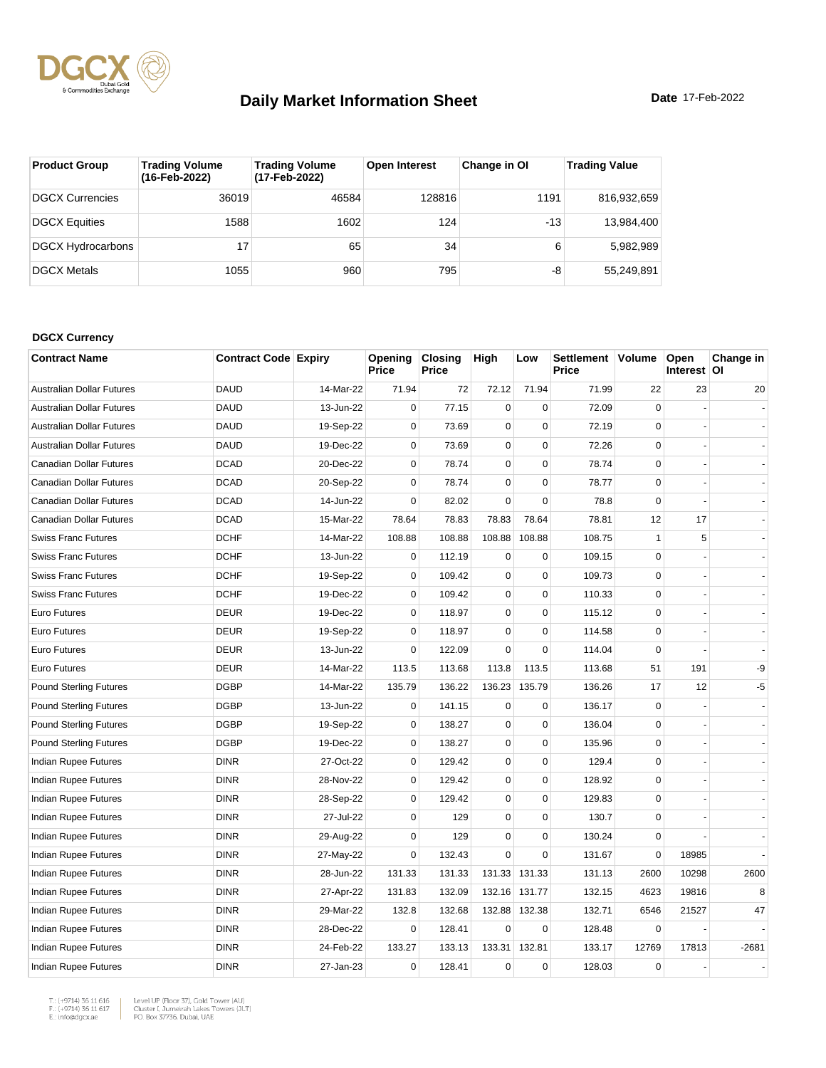

| <b>Product Group</b>     | <b>Trading Volume</b><br>(16-Feb-2022) | <b>Trading Volume</b><br>(17-Feb-2022) | <b>Open Interest</b> | Change in OI | <b>Trading Value</b> |
|--------------------------|----------------------------------------|----------------------------------------|----------------------|--------------|----------------------|
| <b>DGCX Currencies</b>   | 36019                                  | 46584                                  | 128816               | 1191         | 816,932,659          |
| <b>DGCX Equities</b>     | 1588                                   | 1602                                   | 124                  | $-13$        | 13,984,400           |
| <b>DGCX Hydrocarbons</b> | 17                                     | 65                                     | 34                   | 6            | 5,982,989            |
| <b>DGCX Metals</b>       | 1055                                   | 960                                    | 795                  | -8           | 55.249.891           |

#### **DGCX Currency**

| <b>Contract Name</b>             | <b>Contract Code Expiry</b> |           | Opening<br>Price | <b>Closing</b><br>Price | High        | Low           | Settlement Volume<br>Price |              | Open<br>Interest OI | Change in      |
|----------------------------------|-----------------------------|-----------|------------------|-------------------------|-------------|---------------|----------------------------|--------------|---------------------|----------------|
| <b>Australian Dollar Futures</b> | <b>DAUD</b>                 | 14-Mar-22 | 71.94            | 72                      | 72.12       | 71.94         | 71.99                      | 22           | 23                  | 20             |
| <b>Australian Dollar Futures</b> | <b>DAUD</b>                 | 13-Jun-22 | $\mathbf 0$      | 77.15                   | $\mathbf 0$ | $\Omega$      | 72.09                      | $\Omega$     |                     |                |
| <b>Australian Dollar Futures</b> | <b>DAUD</b>                 | 19-Sep-22 | $\mathbf 0$      | 73.69                   | $\mathbf 0$ | $\mathbf 0$   | 72.19                      | $\mathbf 0$  |                     |                |
| <b>Australian Dollar Futures</b> | <b>DAUD</b>                 | 19-Dec-22 | $\mathbf 0$      | 73.69                   | $\mathbf 0$ | $\mathbf 0$   | 72.26                      | $\mathbf 0$  |                     |                |
| Canadian Dollar Futures          | <b>DCAD</b>                 | 20-Dec-22 | $\mathbf 0$      | 78.74                   | $\mathbf 0$ | $\mathbf 0$   | 78.74                      | $\Omega$     |                     |                |
| Canadian Dollar Futures          | <b>DCAD</b>                 | 20-Sep-22 | $\mathbf 0$      | 78.74                   | $\mathbf 0$ | $\mathbf 0$   | 78.77                      | $\mathbf 0$  |                     |                |
| Canadian Dollar Futures          | <b>DCAD</b>                 | 14-Jun-22 | $\mathbf 0$      | 82.02                   | $\pmb{0}$   | $\mathbf 0$   | 78.8                       | $\mathbf 0$  |                     |                |
| Canadian Dollar Futures          | <b>DCAD</b>                 | 15-Mar-22 | 78.64            | 78.83                   | 78.83       | 78.64         | 78.81                      | 12           | 17                  |                |
| <b>Swiss Franc Futures</b>       | <b>DCHF</b>                 | 14-Mar-22 | 108.88           | 108.88                  | 108.88      | 108.88        | 108.75                     | $\mathbf{1}$ | 5                   |                |
| <b>Swiss Franc Futures</b>       | <b>DCHF</b>                 | 13-Jun-22 | $\mathbf 0$      | 112.19                  | $\mathbf 0$ | $\mathbf 0$   | 109.15                     | $\mathbf 0$  |                     |                |
| <b>Swiss Franc Futures</b>       | <b>DCHF</b>                 | 19-Sep-22 | $\mathbf 0$      | 109.42                  | $\mathbf 0$ | $\mathbf 0$   | 109.73                     | $\mathbf 0$  |                     |                |
| <b>Swiss Franc Futures</b>       | <b>DCHF</b>                 | 19-Dec-22 | $\mathbf 0$      | 109.42                  | $\pmb{0}$   | $\pmb{0}$     | 110.33                     | $\mathbf 0$  |                     |                |
| Euro Futures                     | <b>DEUR</b>                 | 19-Dec-22 | 0                | 118.97                  | $\mathbf 0$ | 0             | 115.12                     | $\Omega$     |                     |                |
| <b>Euro Futures</b>              | <b>DEUR</b>                 | 19-Sep-22 | $\mathbf 0$      | 118.97                  | $\mathbf 0$ | $\mathbf 0$   | 114.58                     | $\Omega$     |                     |                |
| <b>Euro Futures</b>              | <b>DEUR</b>                 | 13-Jun-22 | $\mathbf 0$      | 122.09                  | $\mathbf 0$ | $\pmb{0}$     | 114.04                     | $\Omega$     |                     |                |
| <b>Euro Futures</b>              | <b>DEUR</b>                 | 14-Mar-22 | 113.5            | 113.68                  | 113.8       | 113.5         | 113.68                     | 51           | 191                 | -9             |
| <b>Pound Sterling Futures</b>    | <b>DGBP</b>                 | 14-Mar-22 | 135.79           | 136.22                  | 136.23      | 135.79        | 136.26                     | 17           | 12                  | $-5$           |
| <b>Pound Sterling Futures</b>    | <b>DGBP</b>                 | 13-Jun-22 | $\mathbf 0$      | 141.15                  | $\mathbf 0$ | $\mathbf 0$   | 136.17                     | $\mathbf 0$  |                     | $\blacksquare$ |
| <b>Pound Sterling Futures</b>    | <b>DGBP</b>                 | 19-Sep-22 | $\mathbf 0$      | 138.27                  | $\mathbf 0$ | $\mathbf 0$   | 136.04                     | $\Omega$     |                     |                |
| <b>Pound Sterling Futures</b>    | <b>DGBP</b>                 | 19-Dec-22 | $\mathbf 0$      | 138.27                  | $\mathbf 0$ | $\mathbf 0$   | 135.96                     | $\mathbf 0$  |                     |                |
| Indian Rupee Futures             | <b>DINR</b>                 | 27-Oct-22 | $\mathbf 0$      | 129.42                  | $\pmb{0}$   | $\mathbf 0$   | 129.4                      | $\mathbf 0$  |                     |                |
| <b>Indian Rupee Futures</b>      | <b>DINR</b>                 | 28-Nov-22 | $\Omega$         | 129.42                  | $\mathbf 0$ | $\mathbf 0$   | 128.92                     | $\Omega$     |                     |                |
| Indian Rupee Futures             | <b>DINR</b>                 | 28-Sep-22 | $\mathbf 0$      | 129.42                  | $\pmb{0}$   | $\mathbf 0$   | 129.83                     | $\mathbf 0$  |                     |                |
| <b>Indian Rupee Futures</b>      | <b>DINR</b>                 | 27-Jul-22 | $\mathbf 0$      | 129                     | $\mathbf 0$ | $\mathbf 0$   | 130.7                      | $\Omega$     |                     |                |
| <b>Indian Rupee Futures</b>      | <b>DINR</b>                 | 29-Aug-22 | $\mathbf 0$      | 129                     | $\mathbf 0$ | $\mathbf 0$   | 130.24                     | $\mathbf 0$  |                     |                |
| Indian Rupee Futures             | <b>DINR</b>                 | 27-May-22 | $\mathbf 0$      | 132.43                  | $\mathbf 0$ | $\mathbf 0$   | 131.67                     | $\mathbf 0$  | 18985               |                |
| Indian Rupee Futures             | <b>DINR</b>                 | 28-Jun-22 | 131.33           | 131.33                  |             | 131.33 131.33 | 131.13                     | 2600         | 10298               | 2600           |
| Indian Rupee Futures             | <b>DINR</b>                 | 27-Apr-22 | 131.83           | 132.09                  |             | 132.16 131.77 | 132.15                     | 4623         | 19816               | 8              |
| Indian Rupee Futures             | <b>DINR</b>                 | 29-Mar-22 | 132.8            | 132.68                  | 132.88      | 132.38        | 132.71                     | 6546         | 21527               | 47             |
| Indian Rupee Futures             | <b>DINR</b>                 | 28-Dec-22 | $\mathbf 0$      | 128.41                  | $\mathbf 0$ | $\mathbf 0$   | 128.48                     | 0            |                     |                |
| Indian Rupee Futures             | <b>DINR</b>                 | 24-Feb-22 | 133.27           | 133.13                  | 133.31      | 132.81        | 133.17                     | 12769        | 17813               | $-2681$        |
| Indian Rupee Futures             | <b>DINR</b>                 | 27-Jan-23 | $\mathbf 0$      | 128.41                  | $\mathbf 0$ | $\mathbf 0$   | 128.03                     | $\mathbf 0$  |                     |                |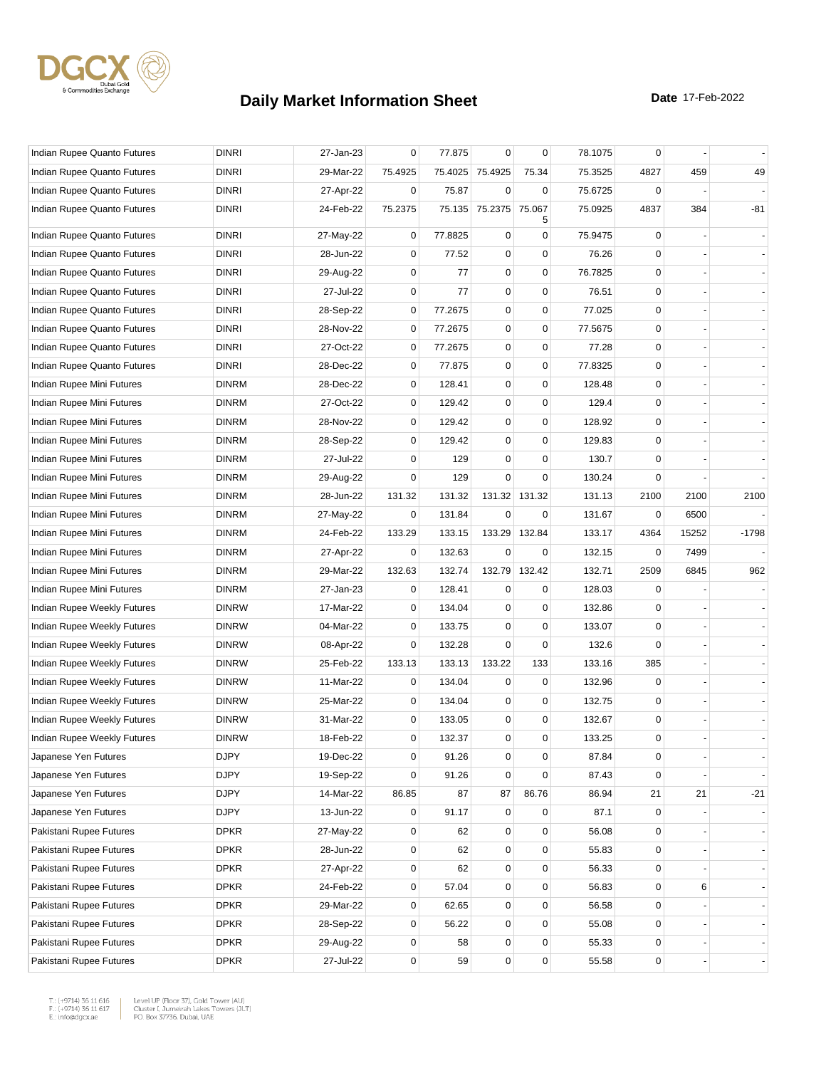

| Indian Rupee Quanto Futures | <b>DINRI</b> | 27-Jan-23 | 0           | 77.875  | $\mathbf 0$     | 0           | 78.1075 | 0           |                          |                          |
|-----------------------------|--------------|-----------|-------------|---------|-----------------|-------------|---------|-------------|--------------------------|--------------------------|
| Indian Rupee Quanto Futures | <b>DINRI</b> | 29-Mar-22 | 75.4925     |         | 75.4025 75.4925 | 75.34       | 75.3525 | 4827        | 459                      | 49                       |
| Indian Rupee Quanto Futures | <b>DINRI</b> | 27-Apr-22 | 0           | 75.87   | $\mathbf 0$     | $\mathbf 0$ | 75.6725 | 0           |                          |                          |
| Indian Rupee Quanto Futures | <b>DINRI</b> | 24-Feb-22 | 75.2375     | 75.135  | 75.2375         | 75.067<br>5 | 75.0925 | 4837        | 384                      | -81                      |
| Indian Rupee Quanto Futures | <b>DINRI</b> | 27-May-22 | 0           | 77.8825 | 0               | 0           | 75.9475 | 0           |                          |                          |
| Indian Rupee Quanto Futures | <b>DINRI</b> | 28-Jun-22 | 0           | 77.52   | $\mathbf 0$     | 0           | 76.26   | $\Omega$    |                          |                          |
| Indian Rupee Quanto Futures | <b>DINRI</b> | 29-Aug-22 | 0           | 77      | $\pmb{0}$       | 0           | 76.7825 | 0           |                          |                          |
| Indian Rupee Quanto Futures | <b>DINRI</b> | 27-Jul-22 | 0           | 77      | $\pmb{0}$       | $\mathbf 0$ | 76.51   | 0           |                          |                          |
| Indian Rupee Quanto Futures | <b>DINRI</b> | 28-Sep-22 | 0           | 77.2675 | 0               | 0           | 77.025  | $\mathbf 0$ |                          |                          |
| Indian Rupee Quanto Futures | <b>DINRI</b> | 28-Nov-22 | 0           | 77.2675 | $\pmb{0}$       | 0           | 77.5675 | $\mathbf 0$ |                          |                          |
| Indian Rupee Quanto Futures | <b>DINRI</b> | 27-Oct-22 | 0           | 77.2675 | $\pmb{0}$       | $\mathbf 0$ | 77.28   | $\mathbf 0$ |                          |                          |
| Indian Rupee Quanto Futures | <b>DINRI</b> | 28-Dec-22 | 0           | 77.875  | 0               | 0           | 77.8325 | 0           |                          |                          |
| Indian Rupee Mini Futures   | <b>DINRM</b> | 28-Dec-22 | 0           | 128.41  | $\mathbf 0$     | 0           | 128.48  | $\mathbf 0$ |                          |                          |
| Indian Rupee Mini Futures   | <b>DINRM</b> | 27-Oct-22 | 0           | 129.42  | $\pmb{0}$       | $\mathbf 0$ | 129.4   | $\mathbf 0$ |                          |                          |
| Indian Rupee Mini Futures   | <b>DINRM</b> | 28-Nov-22 | $\mathbf 0$ | 129.42  | $\pmb{0}$       | 0           | 128.92  | 0           |                          |                          |
| Indian Rupee Mini Futures   | <b>DINRM</b> | 28-Sep-22 | 0           | 129.42  | $\pmb{0}$       | 0           | 129.83  | $\mathbf 0$ |                          |                          |
| Indian Rupee Mini Futures   | <b>DINRM</b> | 27-Jul-22 | 0           | 129     | $\mathbf 0$     | 0           | 130.7   | 0           |                          |                          |
| Indian Rupee Mini Futures   | <b>DINRM</b> | 29-Aug-22 | 0           | 129     | $\mathbf 0$     | $\mathbf 0$ | 130.24  | $\Omega$    |                          |                          |
| Indian Rupee Mini Futures   | <b>DINRM</b> | 28-Jun-22 | 131.32      | 131.32  | 131.32          | 131.32      | 131.13  | 2100        | 2100                     | 2100                     |
| Indian Rupee Mini Futures   | <b>DINRM</b> | 27-May-22 | 0           | 131.84  | $\mathbf 0$     | 0           | 131.67  | 0           | 6500                     |                          |
| Indian Rupee Mini Futures   | <b>DINRM</b> | 24-Feb-22 | 133.29      | 133.15  | 133.29          | 132.84      | 133.17  | 4364        | 15252                    | $-1798$                  |
| Indian Rupee Mini Futures   | <b>DINRM</b> | 27-Apr-22 | 0           | 132.63  | 0               | 0           | 132.15  | 0           | 7499                     |                          |
| Indian Rupee Mini Futures   | <b>DINRM</b> | 29-Mar-22 | 132.63      | 132.74  | 132.79          | 132.42      | 132.71  | 2509        | 6845                     | 962                      |
| Indian Rupee Mini Futures   | <b>DINRM</b> | 27-Jan-23 | 0           | 128.41  | 0               | 0           | 128.03  | 0           |                          |                          |
| Indian Rupee Weekly Futures | <b>DINRW</b> | 17-Mar-22 | 0           | 134.04  | $\mathbf 0$     | 0           | 132.86  | 0           |                          |                          |
| Indian Rupee Weekly Futures | <b>DINRW</b> | 04-Mar-22 | 0           | 133.75  | $\pmb{0}$       | 0           | 133.07  | $\mathbf 0$ |                          |                          |
| Indian Rupee Weekly Futures | <b>DINRW</b> | 08-Apr-22 | 0           | 132.28  | 0               | 0           | 132.6   | 0           |                          |                          |
| Indian Rupee Weekly Futures | <b>DINRW</b> | 25-Feb-22 | 133.13      | 133.13  | 133.22          | 133         | 133.16  | 385         |                          |                          |
| Indian Rupee Weekly Futures | <b>DINRW</b> | 11-Mar-22 | 0           | 134.04  | $\mathbf 0$     | 0           | 132.96  | $\mathbf 0$ |                          |                          |
| Indian Rupee Weekly Futures | <b>DINRW</b> | 25-Mar-22 | $\mathbf 0$ | 134.04  | $\pmb{0}$       | 0           | 132.75  | 0           |                          |                          |
| Indian Rupee Weekly Futures | <b>DINRW</b> | 31-Mar-22 | 0           | 133.05  | $\pmb{0}$       | $\mathbf 0$ | 132.67  | 0           |                          |                          |
| Indian Rupee Weekly Futures | <b>DINRW</b> | 18-Feb-22 | 0           | 132.37  | 0               | 0           | 133.25  | $\mathbf 0$ |                          |                          |
| Japanese Yen Futures        | <b>DJPY</b>  | 19-Dec-22 | 0           | 91.26   | $\pmb{0}$       | $\mathbf 0$ | 87.84   | 0           |                          |                          |
| Japanese Yen Futures        | <b>DJPY</b>  | 19-Sep-22 | 0           | 91.26   | $\mathbf 0$     | $\mathbf 0$ | 87.43   | $\mathbf 0$ |                          |                          |
| Japanese Yen Futures        | <b>DJPY</b>  | 14-Mar-22 | 86.85       | 87      | 87              | 86.76       | 86.94   | 21          | 21                       | $-21$                    |
| Japanese Yen Futures        | <b>DJPY</b>  | 13-Jun-22 | $\mathbf 0$ | 91.17   | $\mathbf 0$     | $\mathbf 0$ | 87.1    | $\mathbf 0$ |                          |                          |
| Pakistani Rupee Futures     | <b>DPKR</b>  | 27-May-22 | 0           | 62      | $\mathbf 0$     | $\mathbf 0$ | 56.08   | 0           |                          | $\overline{\phantom{a}}$ |
| Pakistani Rupee Futures     | <b>DPKR</b>  | 28-Jun-22 | 0           | 62      | $\pmb{0}$       | $\mathbf 0$ | 55.83   | 0           |                          | $\blacksquare$           |
| Pakistani Rupee Futures     | <b>DPKR</b>  | 27-Apr-22 | $\mathbf 0$ | 62      | 0               | $\mathbf 0$ | 56.33   | $\mathbf 0$ |                          |                          |
| Pakistani Rupee Futures     | <b>DPKR</b>  | 24-Feb-22 | $\mathbf 0$ | 57.04   | $\pmb{0}$       | $\mathbf 0$ | 56.83   | $\mathbf 0$ | 6                        |                          |
| Pakistani Rupee Futures     | <b>DPKR</b>  | 29-Mar-22 | $\mathbf 0$ | 62.65   | 0               | $\mathbf 0$ | 56.58   | $\mathbf 0$ |                          |                          |
| Pakistani Rupee Futures     | <b>DPKR</b>  | 28-Sep-22 | 0           | 56.22   | 0               | 0           | 55.08   | 0           |                          |                          |
| Pakistani Rupee Futures     | <b>DPKR</b>  | 29-Aug-22 | 0           | 58      | 0               | $\mathbf 0$ | 55.33   | $\mathbf 0$ | $\overline{\phantom{a}}$ |                          |
| Pakistani Rupee Futures     | <b>DPKR</b>  | 27-Jul-22 | 0           | 59      | $\pmb{0}$       | $\mathbf 0$ | 55.58   | $\pmb{0}$   |                          |                          |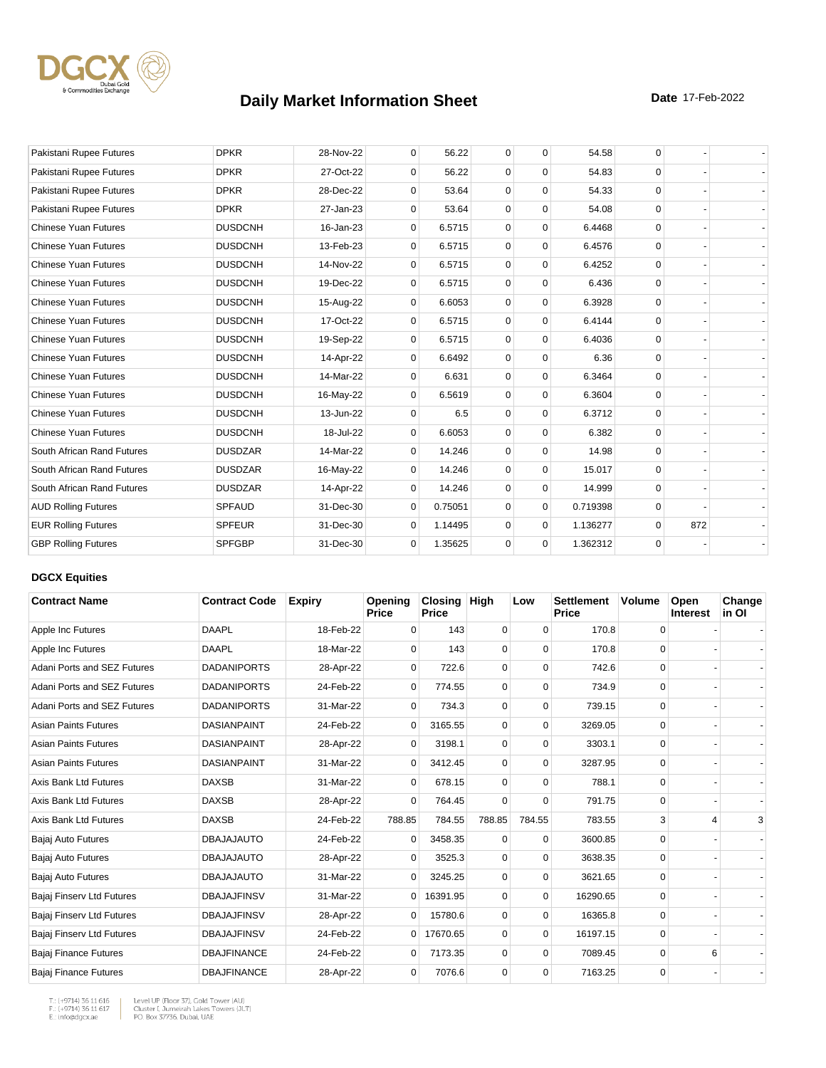

| Pakistani Rupee Futures     | <b>DPKR</b>    | 28-Nov-22 | $\mathbf 0$  | 56.22   | $\mathbf 0$ | $\mathbf 0$ | 54.58    | 0        |     |  |
|-----------------------------|----------------|-----------|--------------|---------|-------------|-------------|----------|----------|-----|--|
| Pakistani Rupee Futures     | <b>DPKR</b>    | 27-Oct-22 | $\Omega$     | 56.22   | $\Omega$    | $\Omega$    | 54.83    | $\Omega$ |     |  |
| Pakistani Rupee Futures     | <b>DPKR</b>    | 28-Dec-22 | $\Omega$     | 53.64   | $\mathbf 0$ | $\mathbf 0$ | 54.33    | $\Omega$ |     |  |
| Pakistani Rupee Futures     | <b>DPKR</b>    | 27-Jan-23 | $\Omega$     | 53.64   | $\mathbf 0$ | $\Omega$    | 54.08    | $\Omega$ |     |  |
| <b>Chinese Yuan Futures</b> | <b>DUSDCNH</b> | 16-Jan-23 | $\Omega$     | 6.5715  | $\mathbf 0$ | $\mathbf 0$ | 6.4468   | $\Omega$ |     |  |
| <b>Chinese Yuan Futures</b> | <b>DUSDCNH</b> | 13-Feb-23 | $\mathbf 0$  | 6.5715  | $\mathbf 0$ | $\mathbf 0$ | 6.4576   | $\Omega$ |     |  |
| <b>Chinese Yuan Futures</b> | <b>DUSDCNH</b> | 14-Nov-22 | 0            | 6.5715  | $\mathbf 0$ | $\mathbf 0$ | 6.4252   | $\Omega$ |     |  |
| <b>Chinese Yuan Futures</b> | <b>DUSDCNH</b> | 19-Dec-22 | 0            | 6.5715  | $\mathbf 0$ | $\mathbf 0$ | 6.436    | $\Omega$ |     |  |
| <b>Chinese Yuan Futures</b> | <b>DUSDCNH</b> | 15-Aug-22 | $\Omega$     | 6.6053  | $\Omega$    | $\Omega$    | 6.3928   | $\Omega$ |     |  |
| <b>Chinese Yuan Futures</b> | <b>DUSDCNH</b> | 17-Oct-22 | $\mathbf{0}$ | 6.5715  | $\mathbf 0$ | $\mathbf 0$ | 6.4144   | $\Omega$ |     |  |
| <b>Chinese Yuan Futures</b> | <b>DUSDCNH</b> | 19-Sep-22 | $\mathbf{0}$ | 6.5715  | $\mathbf 0$ | $\mathbf 0$ | 6.4036   | $\Omega$ |     |  |
| <b>Chinese Yuan Futures</b> | <b>DUSDCNH</b> | 14-Apr-22 | 0            | 6.6492  | $\mathbf 0$ | $\mathbf 0$ | 6.36     | $\Omega$ |     |  |
| <b>Chinese Yuan Futures</b> | <b>DUSDCNH</b> | 14-Mar-22 | $\Omega$     | 6.631   | $\mathbf 0$ | $\mathbf 0$ | 6.3464   | $\Omega$ |     |  |
| <b>Chinese Yuan Futures</b> | <b>DUSDCNH</b> | 16-May-22 | $\mathbf 0$  | 6.5619  | $\mathbf 0$ | $\Omega$    | 6.3604   | $\Omega$ |     |  |
| <b>Chinese Yuan Futures</b> | <b>DUSDCNH</b> | 13-Jun-22 | $\mathbf{0}$ | 6.5     | $\mathbf 0$ | $\mathbf 0$ | 6.3712   | $\Omega$ |     |  |
| <b>Chinese Yuan Futures</b> | <b>DUSDCNH</b> | 18-Jul-22 | $\mathbf{0}$ | 6.6053  | $\mathbf 0$ | $\mathbf 0$ | 6.382    | $\Omega$ |     |  |
| South African Rand Futures  | <b>DUSDZAR</b> | 14-Mar-22 | 0            | 14.246  | $\mathbf 0$ | $\mathbf 0$ | 14.98    | $\Omega$ |     |  |
| South African Rand Futures  | <b>DUSDZAR</b> | 16-May-22 | 0            | 14.246  | $\mathbf 0$ | $\mathbf 0$ | 15.017   | $\Omega$ |     |  |
| South African Rand Futures  | <b>DUSDZAR</b> | 14-Apr-22 | $\Omega$     | 14.246  | $\Omega$    | $\Omega$    | 14.999   | $\Omega$ |     |  |
| <b>AUD Rolling Futures</b>  | <b>SPFAUD</b>  | 31-Dec-30 | $\mathbf 0$  | 0.75051 | $\mathbf 0$ | $\mathbf 0$ | 0.719398 | $\Omega$ |     |  |
| <b>EUR Rolling Futures</b>  | <b>SPFEUR</b>  | 31-Dec-30 | 0            | 1.14495 | $\mathbf 0$ | $\mathbf 0$ | 1.136277 | 0        | 872 |  |
| <b>GBP Rolling Futures</b>  | <b>SPFGBP</b>  | 31-Dec-30 | 0            | 1.35625 | $\mathbf 0$ | $\mathbf 0$ | 1.362312 | $\Omega$ |     |  |

#### **DGCX Equities**

| <b>Contract Name</b>         | <b>Contract Code</b> | <b>Expiry</b> | Opening<br><b>Price</b> | <b>Closing</b><br><b>Price</b> | <b>High</b> | Low         | <b>Settlement</b><br>Price | Volume      | Open<br>Interest | Change<br>in Ol |
|------------------------------|----------------------|---------------|-------------------------|--------------------------------|-------------|-------------|----------------------------|-------------|------------------|-----------------|
| Apple Inc Futures            | <b>DAAPL</b>         | 18-Feb-22     | $\Omega$                | 143                            | 0           | $\Omega$    | 170.8                      | 0           |                  |                 |
| Apple Inc Futures            | <b>DAAPL</b>         | 18-Mar-22     | $\Omega$                | 143                            | $\Omega$    | $\Omega$    | 170.8                      | $\Omega$    |                  |                 |
| Adani Ports and SEZ Futures  | <b>DADANIPORTS</b>   | 28-Apr-22     | $\Omega$                | 722.6                          | $\mathbf 0$ | $\Omega$    | 742.6                      | 0           |                  |                 |
| Adani Ports and SEZ Futures  | <b>DADANIPORTS</b>   | 24-Feb-22     | 0                       | 774.55                         | $\mathbf 0$ | 0           | 734.9                      | 0           |                  |                 |
| Adani Ports and SEZ Futures  | <b>DADANIPORTS</b>   | 31-Mar-22     | 0                       | 734.3                          | $\mathbf 0$ | 0           | 739.15                     | 0           |                  |                 |
| <b>Asian Paints Futures</b>  | <b>DASIANPAINT</b>   | 24-Feb-22     | $\Omega$                | 3165.55                        | $\mathbf 0$ | $\Omega$    | 3269.05                    | 0           |                  |                 |
| <b>Asian Paints Futures</b>  | <b>DASIANPAINT</b>   | 28-Apr-22     | 0                       | 3198.1                         | $\Omega$    | $\Omega$    | 3303.1                     | $\Omega$    |                  |                 |
| <b>Asian Paints Futures</b>  | <b>DASIANPAINT</b>   | 31-Mar-22     | 0                       | 3412.45                        | $\mathbf 0$ | $\Omega$    | 3287.95                    | 0           |                  |                 |
| Axis Bank Ltd Futures        | <b>DAXSB</b>         | 31-Mar-22     | $\Omega$                | 678.15                         | $\mathbf 0$ | $\Omega$    | 788.1                      | 0           |                  |                 |
| Axis Bank Ltd Futures        | <b>DAXSB</b>         | 28-Apr-22     | 0                       | 764.45                         | $\Omega$    | $\Omega$    | 791.75                     | 0           |                  |                 |
| Axis Bank Ltd Futures        | <b>DAXSB</b>         | 24-Feb-22     | 788.85                  | 784.55                         | 788.85      | 784.55      | 783.55                     | 3           | 4                | 3               |
| Bajaj Auto Futures           | <b>DBAJAJAUTO</b>    | 24-Feb-22     | $\Omega$                | 3458.35                        | $\mathbf 0$ | $\Omega$    | 3600.85                    | 0           |                  |                 |
| Bajaj Auto Futures           | <b>DBAJAJAUTO</b>    | 28-Apr-22     | 0                       | 3525.3                         | $\Omega$    | $\Omega$    | 3638.35                    | $\Omega$    |                  |                 |
| Bajaj Auto Futures           | <b>DBAJAJAUTO</b>    | 31-Mar-22     | $\overline{0}$          | 3245.25                        | $\mathbf 0$ | $\Omega$    | 3621.65                    | 0           |                  |                 |
| Bajaj Finserv Ltd Futures    | <b>DBAJAJFINSV</b>   | 31-Mar-22     | $\overline{0}$          | 16391.95                       | $\mathbf 0$ | $\mathbf 0$ | 16290.65                   | $\mathbf 0$ |                  |                 |
| Bajaj Finserv Ltd Futures    | <b>DBAJAJFINSV</b>   | 28-Apr-22     | 0                       | 15780.6                        | $\mathbf 0$ | $\Omega$    | 16365.8                    | 0           |                  |                 |
| Bajaj Finserv Ltd Futures    | <b>DBAJAJFINSV</b>   | 24-Feb-22     | $\Omega$                | 17670.65                       | $\mathbf 0$ | $\Omega$    | 16197.15                   | $\mathbf 0$ |                  |                 |
| <b>Bajaj Finance Futures</b> | <b>DBAJFINANCE</b>   | 24-Feb-22     | 0                       | 7173.35                        | $\mathbf 0$ | $\Omega$    | 7089.45                    | 0           | 6                |                 |
| <b>Bajaj Finance Futures</b> | <b>DBAJFINANCE</b>   | 28-Apr-22     | 0                       | 7076.6                         | $\mathbf 0$ | $\Omega$    | 7163.25                    | 0           |                  |                 |

T.: (+9714) 36 11 616<br>F.: (+9714) 36 11 617<br>E.: info@dgcx.ae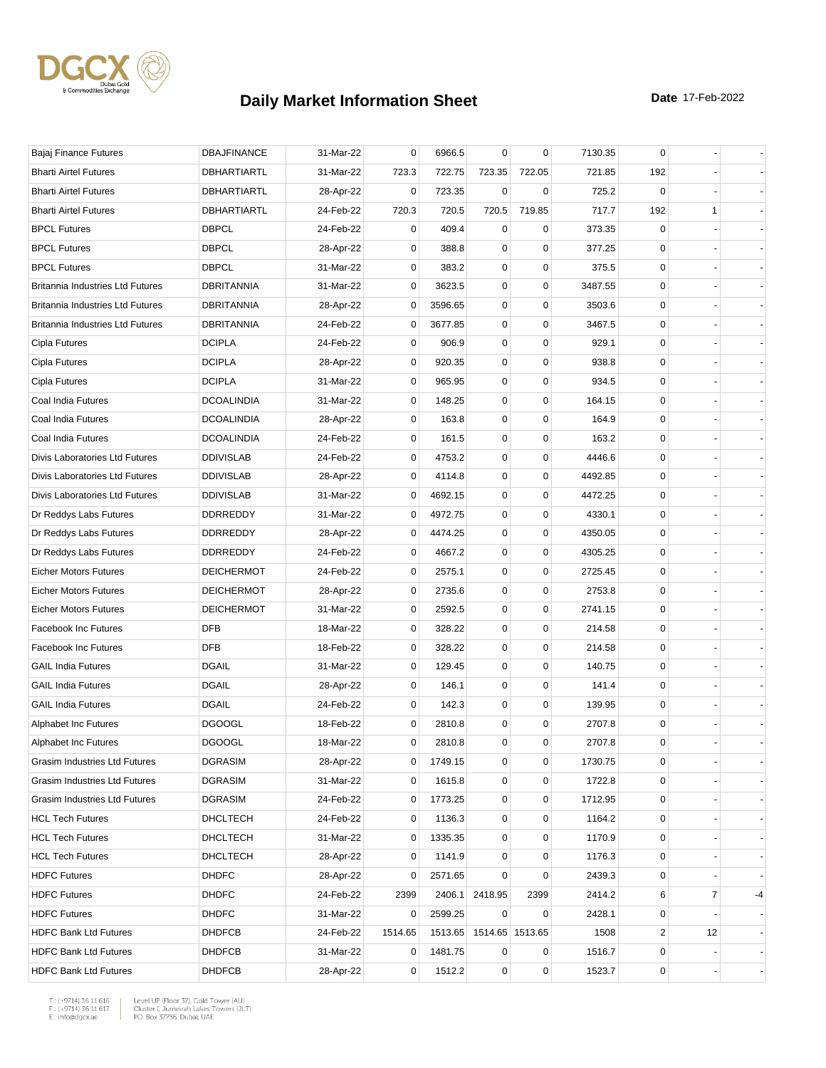

| Bajaj Finance Futures                   | <b>DBAJFINANCE</b> | 31-Mar-22 | 0              | 6966.5  | $\mathbf 0$ | $\mathbf 0$     | 7130.35 | 0              |    |    |
|-----------------------------------------|--------------------|-----------|----------------|---------|-------------|-----------------|---------|----------------|----|----|
| <b>Bharti Airtel Futures</b>            | DBHARTIARTL        | 31-Mar-22 | 723.3          | 722.75  | 723.35      | 722.05          | 721.85  | 192            |    |    |
| <b>Bharti Airtel Futures</b>            | DBHARTIARTL        | 28-Apr-22 | 0              | 723.35  | $\mathbf 0$ | 0               | 725.2   | 0              |    |    |
| <b>Bharti Airtel Futures</b>            | <b>DBHARTIARTL</b> | 24-Feb-22 | 720.3          | 720.5   | 720.5       | 719.85          | 717.7   | 192            | 1  |    |
| <b>BPCL Futures</b>                     | <b>DBPCL</b>       | 24-Feb-22 | 0              | 409.4   | $\mathbf 0$ | 0               | 373.35  | 0              |    |    |
| <b>BPCL Futures</b>                     | <b>DBPCL</b>       | 28-Apr-22 | 0              | 388.8   | $\mathbf 0$ | $\mathbf 0$     | 377.25  | 0              |    |    |
| <b>BPCL Futures</b>                     | <b>DBPCL</b>       | 31-Mar-22 | 0              | 383.2   | 0           | 0               | 375.5   | 0              |    |    |
| <b>Britannia Industries Ltd Futures</b> | <b>DBRITANNIA</b>  | 31-Mar-22 | 0              | 3623.5  | 0           | $\mathbf 0$     | 3487.55 | $\mathbf 0$    |    |    |
| <b>Britannia Industries Ltd Futures</b> | DBRITANNIA         | 28-Apr-22 | 0              | 3596.65 | 0           | $\mathbf 0$     | 3503.6  | 0              |    |    |
| <b>Britannia Industries Ltd Futures</b> | <b>DBRITANNIA</b>  | 24-Feb-22 | 0              | 3677.85 | 0           | 0               | 3467.5  | 0              |    |    |
| Cipla Futures                           | <b>DCIPLA</b>      | 24-Feb-22 | 0              | 906.9   | 0           | $\mathbf 0$     | 929.1   | $\mathbf 0$    |    |    |
| Cipla Futures                           | <b>DCIPLA</b>      | 28-Apr-22 | 0              | 920.35  | 0           | $\mathbf 0$     | 938.8   | 0              |    |    |
| Cipla Futures                           | <b>DCIPLA</b>      | 31-Mar-22 | 0              | 965.95  | 0           | 0               | 934.5   | 0              |    |    |
| Coal India Futures                      | <b>DCOALINDIA</b>  | 31-Mar-22 | 0              | 148.25  | 0           | $\mathbf 0$     | 164.15  | 0              |    |    |
| Coal India Futures                      | <b>DCOALINDIA</b>  | 28-Apr-22 | 0              | 163.8   | 0           | $\mathbf 0$     | 164.9   | 0              |    |    |
| Coal India Futures                      | <b>DCOALINDIA</b>  | 24-Feb-22 | 0              | 161.5   | 0           | $\mathbf 0$     | 163.2   | 0              |    |    |
| Divis Laboratories Ltd Futures          | <b>DDIVISLAB</b>   | 24-Feb-22 | 0              | 4753.2  | 0           | $\mathbf 0$     | 4446.6  | 0              |    |    |
| Divis Laboratories Ltd Futures          | <b>DDIVISLAB</b>   | 28-Apr-22 | 0              | 4114.8  | 0           | $\mathbf 0$     | 4492.85 | 0              |    |    |
| Divis Laboratories Ltd Futures          | <b>DDIVISLAB</b>   | 31-Mar-22 | 0              | 4692.15 | 0           | 0               | 4472.25 | 0              |    |    |
| Dr Reddys Labs Futures                  | <b>DDRREDDY</b>    | 31-Mar-22 | 0              | 4972.75 | 0           | 0               | 4330.1  | 0              |    |    |
| Dr Reddys Labs Futures                  | <b>DDRREDDY</b>    | 28-Apr-22 | 0              | 4474.25 | 0           | $\mathbf 0$     | 4350.05 | 0              |    |    |
| Dr Reddys Labs Futures                  | <b>DDRREDDY</b>    | 24-Feb-22 | 0              | 4667.2  | 0           | $\mathbf 0$     | 4305.25 | 0              |    |    |
| <b>Eicher Motors Futures</b>            | <b>DEICHERMOT</b>  | 24-Feb-22 | 0              | 2575.1  | $\mathbf 0$ | $\mathbf 0$     | 2725.45 | 0              |    |    |
| <b>Eicher Motors Futures</b>            | <b>DEICHERMOT</b>  | 28-Apr-22 | 0              | 2735.6  | 0           | 0               | 2753.8  | 0              |    |    |
| <b>Eicher Motors Futures</b>            | <b>DEICHERMOT</b>  | 31-Mar-22 | 0              | 2592.5  | 0           | $\mathbf 0$     | 2741.15 | 0              |    |    |
| <b>Facebook Inc Futures</b>             | <b>DFB</b>         | 18-Mar-22 | 0              | 328.22  | $\mathbf 0$ | $\mathbf 0$     | 214.58  | 0              |    |    |
| <b>Facebook Inc Futures</b>             | <b>DFB</b>         | 18-Feb-22 | 0              | 328.22  | 0           | 0               | 214.58  | 0              |    |    |
| <b>GAIL India Futures</b>               | <b>DGAIL</b>       | 31-Mar-22 | 0              | 129.45  | 0           | $\mathbf 0$     | 140.75  | 0              |    |    |
| <b>GAIL India Futures</b>               | <b>DGAIL</b>       | 28-Apr-22 | 0              | 146.1   | 0           | $\mathbf 0$     | 141.4   | $\mathbf 0$    |    |    |
| <b>GAIL India Futures</b>               | <b>DGAIL</b>       | 24-Feb-22 | 0              | 142.3   | 0           | 0               | 139.95  | 0              |    |    |
| Alphabet Inc Futures                    | <b>DGOOGL</b>      | 18-Feb-22 | 0              | 2810.8  | 0           | $\mathbf 0$     | 2707.8  | 0              |    |    |
| Alphabet Inc Futures                    | <b>DGOOGL</b>      | 18-Mar-22 | $\mathbf 0$    | 2810.8  | $\mathbf 0$ | $\mathbf 0$     | 2707.8  | $\Omega$       |    |    |
| Grasim Industries Ltd Futures           | <b>DGRASIM</b>     | 28-Apr-22 | 0              | 1749.15 | 0           | 0               | 1730.75 | 0              |    |    |
| Grasim Industries Ltd Futures           | <b>DGRASIM</b>     | 31-Mar-22 | 0              | 1615.8  | 0           | $\mathbf 0$     | 1722.8  | 0              |    |    |
| Grasim Industries Ltd Futures           | <b>DGRASIM</b>     | 24-Feb-22 | 0              | 1773.25 | 0           | 0               | 1712.95 | 0              |    |    |
| <b>HCL Tech Futures</b>                 | DHCLTECH           | 24-Feb-22 | 0              | 1136.3  | 0           | 0               | 1164.2  | 0              |    |    |
| <b>HCL Tech Futures</b>                 | <b>DHCLTECH</b>    | 31-Mar-22 | 0              | 1335.35 | 0           | $\mathbf 0$     | 1170.9  | 0              |    |    |
| <b>HCL Tech Futures</b>                 | DHCLTECH           | 28-Apr-22 | 0              | 1141.9  | 0           | 0               | 1176.3  | 0              |    |    |
| <b>HDFC Futures</b>                     | <b>DHDFC</b>       | 28-Apr-22 | 0              | 2571.65 | 0           | 0               | 2439.3  | 0              |    |    |
| <b>HDFC Futures</b>                     | <b>DHDFC</b>       | 24-Feb-22 | 2399           | 2406.1  | 2418.95     | 2399            | 2414.2  | 6              | 7  | -4 |
| <b>HDFC Futures</b>                     | <b>DHDFC</b>       | 31-Mar-22 | 0              | 2599.25 | 0           | 0               | 2428.1  | 0              |    |    |
| <b>HDFC Bank Ltd Futures</b>            | <b>DHDFCB</b>      | 24-Feb-22 | 1514.65        | 1513.65 |             | 1514.65 1513.65 | 1508    | $\overline{2}$ | 12 |    |
| <b>HDFC Bank Ltd Futures</b>            | <b>DHDFCB</b>      | 31-Mar-22 | $\overline{0}$ | 1481.75 | 0           | 0               | 1516.7  | 0              |    |    |
| <b>HDFC Bank Ltd Futures</b>            | <b>DHDFCB</b>      | 28-Apr-22 | 0              | 1512.2  | 0           | $\pmb{0}$       | 1523.7  | 0              |    |    |
|                                         |                    |           |                |         |             |                 |         |                |    |    |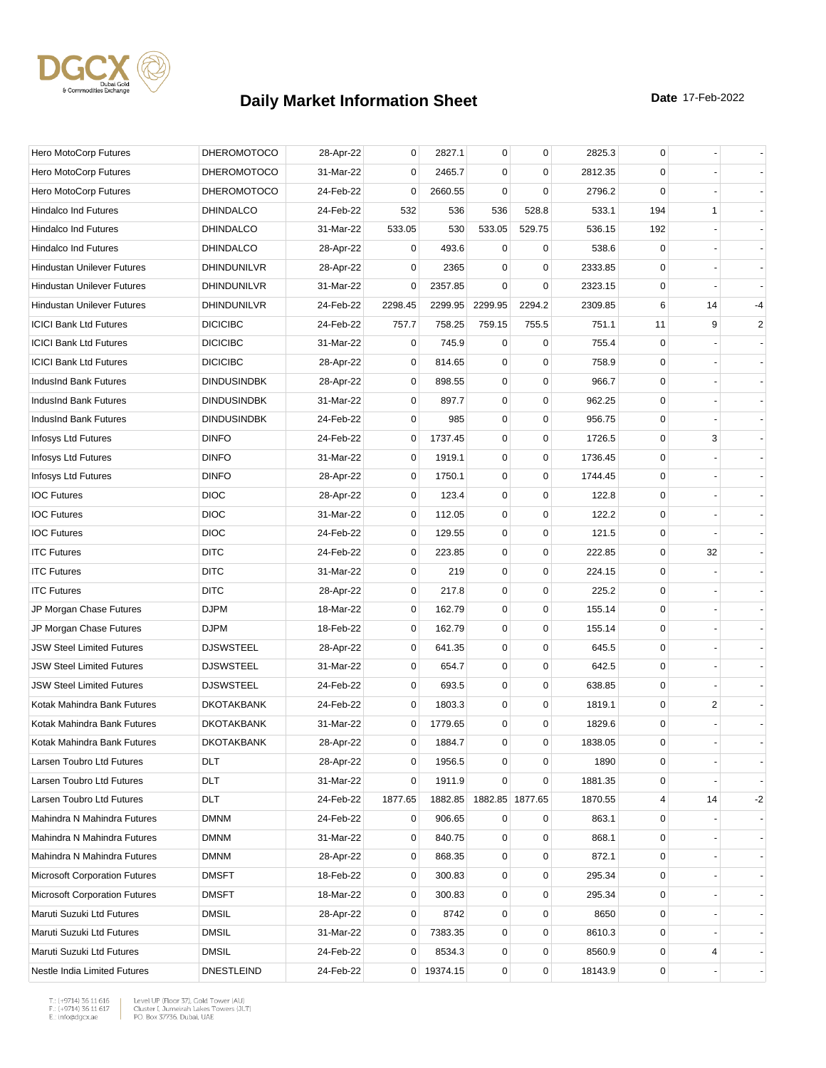

| Hero MotoCorp Futures                | <b>DHEROMOTOCO</b> | 28-Apr-22 | 0           | 2827.1     | 0           | $\mathbf 0$     | 2825.3  | $\mathbf 0$ |    |      |
|--------------------------------------|--------------------|-----------|-------------|------------|-------------|-----------------|---------|-------------|----|------|
| Hero MotoCorp Futures                | <b>DHEROMOTOCO</b> | 31-Mar-22 | 0           | 2465.7     | $\mathbf 0$ | $\mathbf 0$     | 2812.35 | 0           |    |      |
| Hero MotoCorp Futures                | <b>DHEROMOTOCO</b> | 24-Feb-22 | 0           | 2660.55    | $\mathbf 0$ | $\mathbf 0$     | 2796.2  | $\mathbf 0$ |    |      |
| <b>Hindalco Ind Futures</b>          | <b>DHINDALCO</b>   | 24-Feb-22 | 532         | 536        | 536         | 528.8           | 533.1   | 194         | 1  |      |
| <b>Hindalco Ind Futures</b>          | <b>DHINDALCO</b>   | 31-Mar-22 | 533.05      | 530        | 533.05      | 529.75          | 536.15  | 192         |    |      |
| <b>Hindalco Ind Futures</b>          | <b>DHINDALCO</b>   | 28-Apr-22 | 0           | 493.6      | 0           | 0               | 538.6   | 0           |    |      |
| <b>Hindustan Unilever Futures</b>    | <b>DHINDUNILVR</b> | 28-Apr-22 | 0           | 2365       | $\Omega$    | $\mathbf 0$     | 2333.85 | 0           |    |      |
| <b>Hindustan Unilever Futures</b>    | DHINDUNILVR        | 31-Mar-22 | 0           | 2357.85    | $\Omega$    | $\mathbf 0$     | 2323.15 | 0           |    |      |
| <b>Hindustan Unilever Futures</b>    | DHINDUNILVR        | 24-Feb-22 | 2298.45     | 2299.95    | 2299.95     | 2294.2          | 2309.85 | 6           | 14 | $-4$ |
| <b>ICICI Bank Ltd Futures</b>        | <b>DICICIBC</b>    | 24-Feb-22 | 757.7       | 758.25     | 759.15      | 755.5           | 751.1   | 11          | 9  | 2    |
| <b>ICICI Bank Ltd Futures</b>        | <b>DICICIBC</b>    | 31-Mar-22 | 0           | 745.9      | $\mathbf 0$ | $\mathbf 0$     | 755.4   | 0           |    |      |
| <b>ICICI Bank Ltd Futures</b>        | <b>DICICIBC</b>    | 28-Apr-22 | 0           | 814.65     | $\mathbf 0$ | $\mathbf 0$     | 758.9   | $\mathbf 0$ |    |      |
| IndusInd Bank Futures                | <b>DINDUSINDBK</b> | 28-Apr-22 | 0           | 898.55     | 0           | 0               | 966.7   | 0           |    |      |
| IndusInd Bank Futures                | <b>DINDUSINDBK</b> | 31-Mar-22 | 0           | 897.7      | 0           | $\mathbf 0$     | 962.25  | 0           |    |      |
| IndusInd Bank Futures                | <b>DINDUSINDBK</b> | 24-Feb-22 | 0           | 985        | 0           | $\pmb{0}$       | 956.75  | 0           |    |      |
| Infosys Ltd Futures                  | <b>DINFO</b>       | 24-Feb-22 | 0           | 1737.45    | 0           | $\mathbf 0$     | 1726.5  | $\mathbf 0$ | 3  |      |
| Infosys Ltd Futures                  | <b>DINFO</b>       | 31-Mar-22 | $\mathbf 0$ | 1919.1     | 0           | $\mathbf 0$     | 1736.45 | 0           |    |      |
| Infosys Ltd Futures                  | <b>DINFO</b>       | 28-Apr-22 | 0           | 1750.1     | 0           | $\mathbf 0$     | 1744.45 | 0           |    |      |
| <b>IOC Futures</b>                   | <b>DIOC</b>        | 28-Apr-22 | 0           | 123.4      | 0           | $\mathbf 0$     | 122.8   | $\mathbf 0$ |    |      |
| <b>IOC Futures</b>                   | <b>DIOC</b>        | 31-Mar-22 | 0           | 112.05     | 0           | $\mathbf 0$     | 122.2   | 0           |    |      |
| <b>IOC Futures</b>                   | <b>DIOC</b>        | 24-Feb-22 | 0           | 129.55     | 0           | $\mathbf 0$     | 121.5   | 0           |    |      |
| <b>ITC Futures</b>                   | <b>DITC</b>        | 24-Feb-22 | 0           | 223.85     | 0           | $\mathbf 0$     | 222.85  | 0           | 32 |      |
| <b>ITC Futures</b>                   | <b>DITC</b>        | 31-Mar-22 | $\mathbf 0$ | 219        | 0           | $\mathbf 0$     | 224.15  | 0           |    |      |
| <b>ITC Futures</b>                   | <b>DITC</b>        | 28-Apr-22 | 0           | 217.8      | 0           | $\mathbf 0$     | 225.2   | 0           |    |      |
| JP Morgan Chase Futures              | <b>DJPM</b>        | 18-Mar-22 | 0           | 162.79     | 0           | $\mathbf 0$     | 155.14  | 0           |    |      |
| JP Morgan Chase Futures              | <b>DJPM</b>        | 18-Feb-22 | 0           | 162.79     | 0           | $\mathbf 0$     | 155.14  | 0           |    |      |
| <b>JSW Steel Limited Futures</b>     | <b>DJSWSTEEL</b>   | 28-Apr-22 | 0           | 641.35     | 0           | $\mathbf 0$     | 645.5   | $\mathbf 0$ |    |      |
| <b>JSW Steel Limited Futures</b>     | <b>DJSWSTEEL</b>   | 31-Mar-22 | 0           | 654.7      | 0           | $\mathbf 0$     | 642.5   | 0           |    |      |
| <b>JSW Steel Limited Futures</b>     | <b>DJSWSTEEL</b>   | 24-Feb-22 | 0           | 693.5      | 0           | $\mathbf 0$     | 638.85  | $\mathbf 0$ |    |      |
| Kotak Mahindra Bank Futures          | <b>DKOTAKBANK</b>  | 24-Feb-22 | 0           | 1803.3     | 0           | 0               | 1819.1  | 0           | 2  |      |
| Kotak Mahindra Bank Futures          | <b>DKOTAKBANK</b>  | 31-Mar-22 | 0           | 1779.65    | 0           | $\mathbf 0$     | 1829.6  | 0           |    |      |
| Kotak Mahindra Bank Futures          | <b>DKOTAKBANK</b>  | 28-Apr-22 | $\mathbf 0$ | 1884.7     | $\mathbf 0$ | $\mathbf 0$     | 1838.05 | $\mathbf 0$ |    |      |
| Larsen Toubro Ltd Futures            | DLT                | 28-Apr-22 | 0           | 1956.5     | 0           | 0               | 1890    | 0           |    |      |
| Larsen Toubro Ltd Futures            | <b>DLT</b>         | 31-Mar-22 | 0           | 1911.9     | $\mathbf 0$ | $\mathbf 0$     | 1881.35 | 0           |    |      |
| Larsen Toubro Ltd Futures            | DLT                | 24-Feb-22 | 1877.65     | 1882.85    |             | 1882.85 1877.65 | 1870.55 | 4           | 14 | $-2$ |
| Mahindra N Mahindra Futures          | <b>DMNM</b>        | 24-Feb-22 | 0           | 906.65     | 0           | 0               | 863.1   | 0           |    |      |
| Mahindra N Mahindra Futures          | <b>DMNM</b>        | 31-Mar-22 | 0           | 840.75     | 0           | $\mathbf 0$     | 868.1   | 0           |    |      |
| Mahindra N Mahindra Futures          | <b>DMNM</b>        | 28-Apr-22 | 0           | 868.35     | 0           | $\mathbf 0$     | 872.1   | 0           |    |      |
| <b>Microsoft Corporation Futures</b> | <b>DMSFT</b>       | 18-Feb-22 | 0           | 300.83     | 0           | 0               | 295.34  | 0           |    |      |
| <b>Microsoft Corporation Futures</b> | <b>DMSFT</b>       | 18-Mar-22 | 0           | 300.83     | 0           | $\mathbf 0$     | 295.34  | 0           |    |      |
| Maruti Suzuki Ltd Futures            | <b>DMSIL</b>       | 28-Apr-22 | 0           | 8742       | 0           | $\mathbf 0$     | 8650    | 0           |    |      |
| Maruti Suzuki Ltd Futures            | <b>DMSIL</b>       | 31-Mar-22 | 0           | 7383.35    | 0           | $\mathbf 0$     | 8610.3  | 0           |    |      |
| Maruti Suzuki Ltd Futures            | <b>DMSIL</b>       | 24-Feb-22 | 0           | 8534.3     | 0           | $\pmb{0}$       | 8560.9  | 0           | 4  |      |
| Nestle India Limited Futures         | <b>DNESTLEIND</b>  | 24-Feb-22 |             | 0 19374.15 | 0           | $\pmb{0}$       | 18143.9 | 0           |    |      |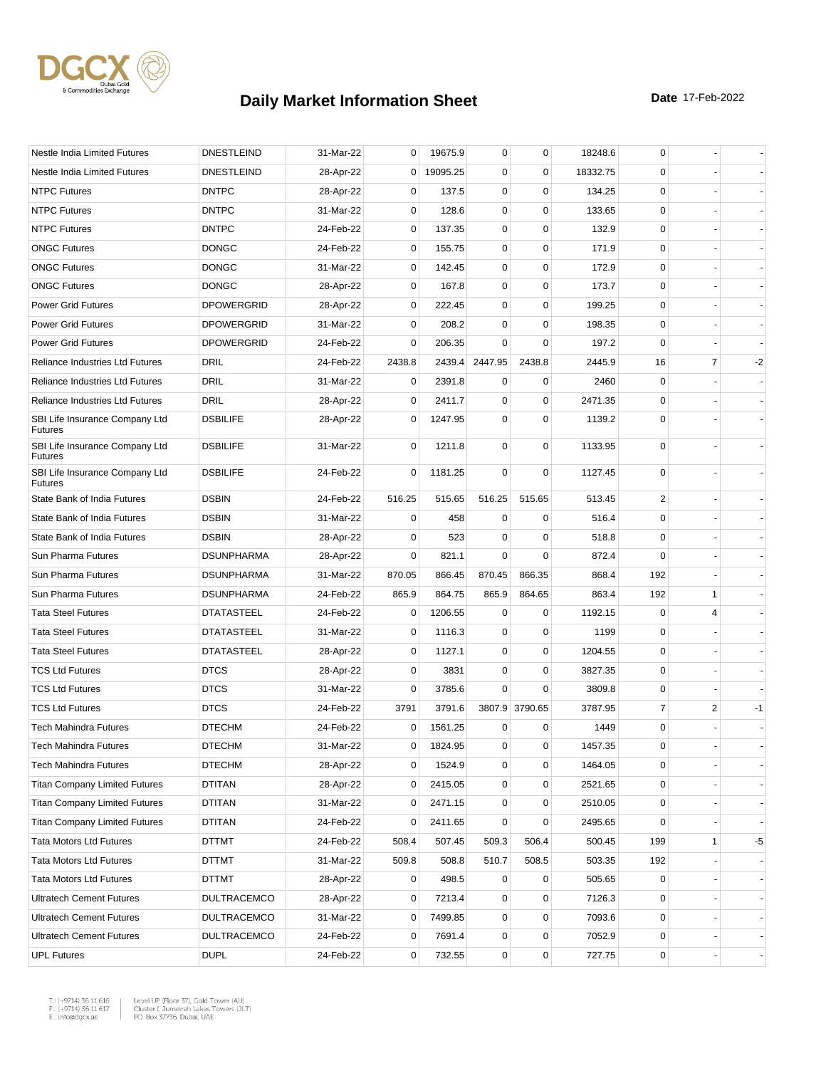

| Nestle India Limited Futures                     | <b>DNESTLEIND</b>  | 31-Mar-22 | 0           | 19675.9  | 0           | $\mathbf 0$    | 18248.6  | 0              |                |      |
|--------------------------------------------------|--------------------|-----------|-------------|----------|-------------|----------------|----------|----------------|----------------|------|
| Nestle India Limited Futures                     | <b>DNESTLEIND</b>  | 28-Apr-22 | $\mathbf 0$ | 19095.25 | $\mathbf 0$ | $\mathbf 0$    | 18332.75 | 0              |                |      |
| <b>NTPC Futures</b>                              | <b>DNTPC</b>       | 28-Apr-22 | 0           | 137.5    | 0           | $\mathbf 0$    | 134.25   | $\mathbf 0$    |                |      |
| <b>NTPC Futures</b>                              | <b>DNTPC</b>       | 31-Mar-22 | 0           | 128.6    | $\mathbf 0$ | $\mathbf 0$    | 133.65   | $\mathbf 0$    |                |      |
| <b>NTPC Futures</b>                              | <b>DNTPC</b>       | 24-Feb-22 | 0           | 137.35   | 0           | $\mathbf 0$    | 132.9    | 0              |                |      |
| <b>ONGC Futures</b>                              | <b>DONGC</b>       | 24-Feb-22 | $\mathbf 0$ | 155.75   | $\mathbf 0$ | $\mathbf 0$    | 171.9    | $\mathbf 0$    |                |      |
| <b>ONGC Futures</b>                              | <b>DONGC</b>       | 31-Mar-22 | 0           | 142.45   | $\mathbf 0$ | $\mathbf 0$    | 172.9    | 0              |                |      |
| <b>ONGC Futures</b>                              | <b>DONGC</b>       | 28-Apr-22 | 0           | 167.8    | $\mathbf 0$ | $\mathbf 0$    | 173.7    | 0              |                |      |
| <b>Power Grid Futures</b>                        | <b>DPOWERGRID</b>  | 28-Apr-22 | 0           | 222.45   | $\mathbf 0$ | $\mathbf 0$    | 199.25   | 0              |                |      |
| <b>Power Grid Futures</b>                        | <b>DPOWERGRID</b>  | 31-Mar-22 | 0           | 208.2    | 0           | 0              | 198.35   | 0              |                |      |
| <b>Power Grid Futures</b>                        | <b>DPOWERGRID</b>  | 24-Feb-22 | 0           | 206.35   | $\Omega$    | $\mathbf 0$    | 197.2    | 0              |                |      |
| Reliance Industries Ltd Futures                  | DRIL               | 24-Feb-22 | 2438.8      | 2439.4   | 2447.95     | 2438.8         | 2445.9   | 16             | $\overline{7}$ | $-2$ |
| <b>Reliance Industries Ltd Futures</b>           | <b>DRIL</b>        | 31-Mar-22 | 0           | 2391.8   | 0           | 0              | 2460     | 0              |                |      |
| <b>Reliance Industries Ltd Futures</b>           | DRIL               | 28-Apr-22 | 0           | 2411.7   | $\mathbf 0$ | $\mathbf 0$    | 2471.35  | 0              |                |      |
| SBI Life Insurance Company Ltd<br><b>Futures</b> | <b>DSBILIFE</b>    | 28-Apr-22 | 0           | 1247.95  | 0           | $\mathbf 0$    | 1139.2   | 0              |                |      |
| SBI Life Insurance Company Ltd<br><b>Futures</b> | <b>DSBILIFE</b>    | 31-Mar-22 | $\mathbf 0$ | 1211.8   | 0           | 0              | 1133.95  | $\mathbf 0$    |                |      |
| SBI Life Insurance Company Ltd<br><b>Futures</b> | <b>DSBILIFE</b>    | 24-Feb-22 | 0           | 1181.25  | $\mathbf 0$ | $\mathbf 0$    | 1127.45  | 0              |                |      |
| State Bank of India Futures                      | <b>DSBIN</b>       | 24-Feb-22 | 516.25      | 515.65   | 516.25      | 515.65         | 513.45   | $\overline{2}$ |                |      |
| State Bank of India Futures                      | <b>DSBIN</b>       | 31-Mar-22 | 0           | 458      | 0           | 0              | 516.4    | 0              |                |      |
| State Bank of India Futures                      | <b>DSBIN</b>       | 28-Apr-22 | 0           | 523      | $\Omega$    | $\mathbf 0$    | 518.8    | 0              |                |      |
| Sun Pharma Futures                               | <b>DSUNPHARMA</b>  | 28-Apr-22 | 0           | 821.1    | $\Omega$    | $\Omega$       | 872.4    | $\mathbf 0$    |                |      |
| Sun Pharma Futures                               | <b>DSUNPHARMA</b>  | 31-Mar-22 | 870.05      | 866.45   | 870.45      | 866.35         | 868.4    | 192            |                |      |
| Sun Pharma Futures                               | <b>DSUNPHARMA</b>  | 24-Feb-22 | 865.9       | 864.75   | 865.9       | 864.65         | 863.4    | 192            | 1              |      |
| <b>Tata Steel Futures</b>                        | <b>DTATASTEEL</b>  | 24-Feb-22 | 0           | 1206.55  | $\mathbf 0$ | 0              | 1192.15  | $\mathbf 0$    | 4              |      |
| <b>Tata Steel Futures</b>                        | <b>DTATASTEEL</b>  | 31-Mar-22 | 0           | 1116.3   | 0           | 0              | 1199     | 0              |                |      |
| <b>Tata Steel Futures</b>                        | <b>DTATASTEEL</b>  | 28-Apr-22 | 0           | 1127.1   | $\mathbf 0$ | $\mathbf 0$    | 1204.55  | 0              |                |      |
| <b>TCS Ltd Futures</b>                           | <b>DTCS</b>        | 28-Apr-22 | 0           | 3831     | 0           | 0              | 3827.35  | 0              |                |      |
| <b>TCS Ltd Futures</b>                           | <b>DTCS</b>        | 31-Mar-22 | 0           | 3785.6   | $\Omega$    | 0              | 3809.8   | 0              |                |      |
| <b>TCS Ltd Futures</b>                           | <b>DTCS</b>        | 24-Feb-22 | 3791        | 3791.6   |             | 3807.9 3790.65 | 3787.95  | 7              | $\overline{c}$ | $-1$ |
| <b>Tech Mahindra Futures</b>                     | <b>DTECHM</b>      | 24-Feb-22 | 0           | 1561.25  | 0           | 0              | 1449     | 0              |                |      |
| <b>Tech Mahindra Futures</b>                     | <b>DTECHM</b>      | 31-Mar-22 | 0           | 1824.95  | 0           | 0              | 1457.35  | $\Omega$       |                |      |
| Tech Mahindra Futures                            | <b>DTECHM</b>      | 28-Apr-22 | 0           | 1524.9   | 0           | 0              | 1464.05  | 0              |                |      |
| <b>Titan Company Limited Futures</b>             | DTITAN             | 28-Apr-22 | 0           | 2415.05  | 0           | $\pmb{0}$      | 2521.65  | 0              |                |      |
| <b>Titan Company Limited Futures</b>             | <b>DTITAN</b>      | 31-Mar-22 | 0           | 2471.15  | 0           | $\mathbf 0$    | 2510.05  | 0              |                |      |
| <b>Titan Company Limited Futures</b>             | DTITAN             | 24-Feb-22 | 0           | 2411.65  | 0           | 0              | 2495.65  | 0              |                |      |
| <b>Tata Motors Ltd Futures</b>                   | DTTMT              | 24-Feb-22 | 508.4       | 507.45   | 509.3       | 506.4          | 500.45   | 199            | 1              | -5   |
| <b>Tata Motors Ltd Futures</b>                   | DTTMT              | 31-Mar-22 | 509.8       | 508.8    | 510.7       | 508.5          | 503.35   | 192            |                |      |
| <b>Tata Motors Ltd Futures</b>                   | DTTMT              | 28-Apr-22 | 0           | 498.5    | 0           | 0              | 505.65   | 0              |                |      |
| <b>Ultratech Cement Futures</b>                  | <b>DULTRACEMCO</b> | 28-Apr-22 | 0           | 7213.4   | 0           | 0              | 7126.3   | 0              |                |      |
| <b>Ultratech Cement Futures</b>                  | <b>DULTRACEMCO</b> | 31-Mar-22 | 0           | 7499.85  | 0           | $\mathbf 0$    | 7093.6   | 0              |                |      |
| <b>Ultratech Cement Futures</b>                  | <b>DULTRACEMCO</b> | 24-Feb-22 | 0           | 7691.4   | 0           | $\pmb{0}$      | 7052.9   | 0              |                |      |
| <b>UPL Futures</b>                               | <b>DUPL</b>        | 24-Feb-22 | 0           | 732.55   | 0           | $\pmb{0}$      | 727.75   | 0              |                |      |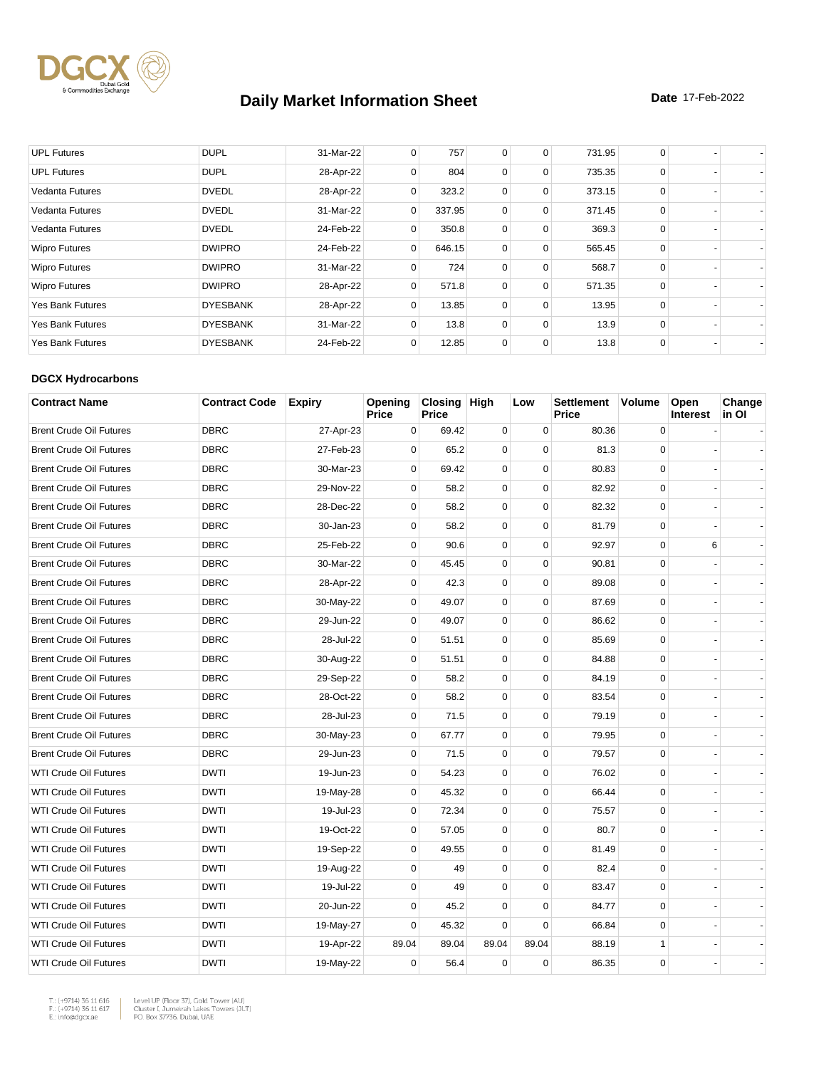

| <b>UPL Futures</b>      | <b>DUPL</b>     | 31-Mar-22 | 0            | 757    | 0           | 0           | 731.95 | 0           |  |
|-------------------------|-----------------|-----------|--------------|--------|-------------|-------------|--------|-------------|--|
| <b>UPL Futures</b>      | <b>DUPL</b>     | 28-Apr-22 | 0            | 804    | $\mathbf 0$ | $\mathbf 0$ | 735.35 | $\Omega$    |  |
| <b>Vedanta Futures</b>  | <b>DVEDL</b>    | 28-Apr-22 | 0            | 323.2  | $\mathbf 0$ | $\mathbf 0$ | 373.15 | $\Omega$    |  |
| <b>Vedanta Futures</b>  | <b>DVEDL</b>    | 31-Mar-22 | $\mathbf{0}$ | 337.95 | 0           | $\mathbf 0$ | 371.45 | 0           |  |
| Vedanta Futures         | <b>DVEDL</b>    | 24-Feb-22 | $\Omega$     | 350.8  | 0           | $\mathbf 0$ | 369.3  | $\Omega$    |  |
| <b>Wipro Futures</b>    | <b>DWIPRO</b>   | 24-Feb-22 | $\mathbf{0}$ | 646.15 | 0           | $\mathbf 0$ | 565.45 | $\mathbf 0$ |  |
| <b>Wipro Futures</b>    | <b>DWIPRO</b>   | 31-Mar-22 | $\Omega$     | 724    | $\mathbf 0$ | 0           | 568.7  | $\Omega$    |  |
| <b>Wipro Futures</b>    | <b>DWIPRO</b>   | 28-Apr-22 | 0            | 571.8  | $\mathbf 0$ | $\mathbf 0$ | 571.35 | $\Omega$    |  |
| <b>Yes Bank Futures</b> | <b>DYESBANK</b> | 28-Apr-22 | 0            | 13.85  | $\mathbf 0$ | $\mathbf 0$ | 13.95  | $\Omega$    |  |
| <b>Yes Bank Futures</b> | <b>DYESBANK</b> | 31-Mar-22 | 0            | 13.8   | 0           | $\mathbf 0$ | 13.9   | $\mathbf 0$ |  |
| <b>Yes Bank Futures</b> | <b>DYESBANK</b> | 24-Feb-22 | 0            | 12.85  | $\mathbf 0$ | $\Omega$    | 13.8   | 0           |  |

#### **DGCX Hydrocarbons**

| <b>Contract Name</b>           | <b>Contract Code</b> | <b>Expiry</b> | Opening<br><b>Price</b> | Closing High<br><b>Price</b> |             | Low         | <b>Settlement</b><br>Price | <b>Volume</b> | Open<br><b>Interest</b> | Change<br>in Ol |
|--------------------------------|----------------------|---------------|-------------------------|------------------------------|-------------|-------------|----------------------------|---------------|-------------------------|-----------------|
| <b>Brent Crude Oil Futures</b> | <b>DBRC</b>          | 27-Apr-23     | 0                       | 69.42                        | 0           | 0           | 80.36                      | 0             |                         |                 |
| <b>Brent Crude Oil Futures</b> | <b>DBRC</b>          | 27-Feb-23     | $\Omega$                | 65.2                         | $\Omega$    | $\Omega$    | 81.3                       | $\Omega$      |                         |                 |
| <b>Brent Crude Oil Futures</b> | <b>DBRC</b>          | 30-Mar-23     | $\mathbf 0$             | 69.42                        | $\mathbf 0$ | $\mathbf 0$ | 80.83                      | $\mathbf 0$   |                         |                 |
| <b>Brent Crude Oil Futures</b> | <b>DBRC</b>          | 29-Nov-22     | 0                       | 58.2                         | $\mathbf 0$ | $\mathbf 0$ | 82.92                      | $\mathbf 0$   |                         |                 |
| <b>Brent Crude Oil Futures</b> | <b>DBRC</b>          | 28-Dec-22     | $\mathbf 0$             | 58.2                         | $\mathbf 0$ | $\Omega$    | 82.32                      | $\mathbf 0$   |                         |                 |
| <b>Brent Crude Oil Futures</b> | <b>DBRC</b>          | 30-Jan-23     | $\mathbf 0$             | 58.2                         | 0           | $\mathbf 0$ | 81.79                      | 0             |                         |                 |
| <b>Brent Crude Oil Futures</b> | <b>DBRC</b>          | 25-Feb-22     | $\Omega$                | 90.6                         | $\mathbf 0$ | $\mathbf 0$ | 92.97                      | $\mathbf 0$   | 6                       |                 |
| <b>Brent Crude Oil Futures</b> | <b>DBRC</b>          | 30-Mar-22     | 0                       | 45.45                        | 0           | $\mathbf 0$ | 90.81                      | 0             |                         |                 |
| <b>Brent Crude Oil Futures</b> | <b>DBRC</b>          | 28-Apr-22     | 0                       | 42.3                         | 0           | $\mathbf 0$ | 89.08                      | $\mathbf 0$   |                         |                 |
| <b>Brent Crude Oil Futures</b> | <b>DBRC</b>          | 30-May-22     | 0                       | 49.07                        | $\mathbf 0$ | $\Omega$    | 87.69                      | $\mathbf 0$   |                         |                 |
| <b>Brent Crude Oil Futures</b> | <b>DBRC</b>          | 29-Jun-22     | 0                       | 49.07                        | 0           | $\mathbf 0$ | 86.62                      | 0             |                         |                 |
| <b>Brent Crude Oil Futures</b> | <b>DBRC</b>          | 28-Jul-22     | 0                       | 51.51                        | $\mathbf 0$ | $\mathbf 0$ | 85.69                      | $\mathbf 0$   |                         |                 |
| <b>Brent Crude Oil Futures</b> | <b>DBRC</b>          | 30-Aug-22     | 0                       | 51.51                        | $\mathbf 0$ | $\mathbf 0$ | 84.88                      | $\mathbf 0$   |                         |                 |
| <b>Brent Crude Oil Futures</b> | <b>DBRC</b>          | 29-Sep-22     | $\mathbf 0$             | 58.2                         | 0           | $\mathbf 0$ | 84.19                      | $\mathbf 0$   |                         |                 |
| <b>Brent Crude Oil Futures</b> | <b>DBRC</b>          | 28-Oct-22     | $\mathbf 0$             | 58.2                         | $\mathbf 0$ | $\mathbf 0$ | 83.54                      | $\mathbf 0$   |                         |                 |
| <b>Brent Crude Oil Futures</b> | <b>DBRC</b>          | 28-Jul-23     | $\mathbf 0$             | 71.5                         | $\mathbf 0$ | $\Omega$    | 79.19                      | $\mathbf 0$   |                         |                 |
| <b>Brent Crude Oil Futures</b> | <b>DBRC</b>          | 30-May-23     | 0                       | 67.77                        | 0           | $\mathbf 0$ | 79.95                      | 0             |                         |                 |
| <b>Brent Crude Oil Futures</b> | <b>DBRC</b>          | 29-Jun-23     | 0                       | 71.5                         | 0           | $\mathbf 0$ | 79.57                      | $\mathbf 0$   |                         |                 |
| <b>WTI Crude Oil Futures</b>   | <b>DWTI</b>          | 19-Jun-23     | 0                       | 54.23                        | $\mathbf 0$ | $\mathbf 0$ | 76.02                      | $\mathbf 0$   |                         |                 |
| <b>WTI Crude Oil Futures</b>   | <b>DWTI</b>          | 19-May-28     | 0                       | 45.32                        | $\mathbf 0$ | $\mathbf 0$ | 66.44                      | $\mathbf 0$   |                         |                 |
| <b>WTI Crude Oil Futures</b>   | <b>DWTI</b>          | 19-Jul-23     | 0                       | 72.34                        | $\mathbf 0$ | $\Omega$    | 75.57                      | $\mathbf 0$   |                         |                 |
| <b>WTI Crude Oil Futures</b>   | <b>DWTI</b>          | 19-Oct-22     | 0                       | 57.05                        | $\mathbf 0$ | $\pmb{0}$   | 80.7                       | 0             |                         |                 |
| <b>WTI Crude Oil Futures</b>   | <b>DWTI</b>          | 19-Sep-22     | 0                       | 49.55                        | $\mathbf 0$ | $\mathbf 0$ | 81.49                      | $\mathbf 0$   |                         |                 |
| <b>WTI Crude Oil Futures</b>   | <b>DWTI</b>          | 19-Aug-22     | $\mathbf 0$             | 49                           | $\mathbf 0$ | $\Omega$    | 82.4                       | $\mathbf 0$   |                         |                 |
| <b>WTI Crude Oil Futures</b>   | <b>DWTI</b>          | 19-Jul-22     | $\mathbf 0$             | 49                           | $\mathbf 0$ | $\mathbf 0$ | 83.47                      | $\mathbf 0$   |                         |                 |
| <b>WTI Crude Oil Futures</b>   | <b>DWTI</b>          | 20-Jun-22     | $\mathbf 0$             | 45.2                         | $\mathbf 0$ | $\mathbf 0$ | 84.77                      | $\mathbf 0$   |                         |                 |
| <b>WTI Crude Oil Futures</b>   | <b>DWTI</b>          | 19-May-27     | 0                       | 45.32                        | $\mathbf 0$ | $\mathbf 0$ | 66.84                      | $\mathbf 0$   |                         |                 |
| <b>WTI Crude Oil Futures</b>   | <b>DWTI</b>          | 19-Apr-22     | 89.04                   | 89.04                        | 89.04       | 89.04       | 88.19                      | $\mathbf{1}$  |                         |                 |
| <b>WTI Crude Oil Futures</b>   | <b>DWTI</b>          | 19-May-22     | 0                       | 56.4                         | $\mathbf 0$ | $\mathbf 0$ | 86.35                      | $\Omega$      |                         |                 |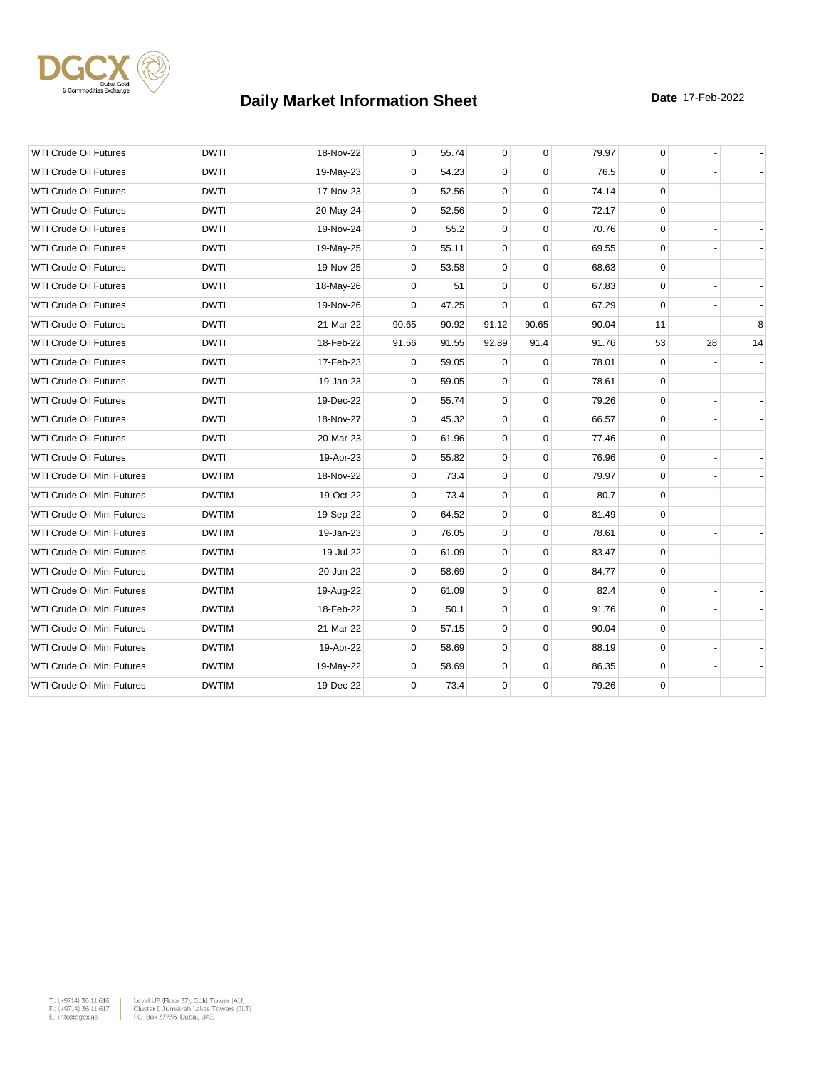

| <b>WTI Crude Oil Futures</b>      | <b>DWTI</b>  | 18-Nov-22 | 0           | 55.74 | $\mathbf 0$ | $\mathbf 0$ | 79.97 | 0           |    |    |
|-----------------------------------|--------------|-----------|-------------|-------|-------------|-------------|-------|-------------|----|----|
| <b>WTI Crude Oil Futures</b>      | <b>DWTI</b>  | 19-May-23 | 0           | 54.23 | 0           | $\Omega$    | 76.5  | $\mathbf 0$ |    |    |
| <b>WTI Crude Oil Futures</b>      | <b>DWTI</b>  | 17-Nov-23 | 0           | 52.56 | 0           | $\mathbf 0$ | 74.14 | 0           |    |    |
| <b>WTI Crude Oil Futures</b>      | <b>DWTI</b>  | 20-May-24 | $\mathbf 0$ | 52.56 | $\mathbf 0$ | $\mathbf 0$ | 72.17 | $\mathbf 0$ |    |    |
| <b>WTI Crude Oil Futures</b>      | <b>DWTI</b>  | 19-Nov-24 | $\Omega$    | 55.2  | $\mathbf 0$ | $\Omega$    | 70.76 | $\mathbf 0$ |    |    |
| <b>WTI Crude Oil Futures</b>      | <b>DWTI</b>  | 19-May-25 | 0           | 55.11 | 0           | $\mathbf 0$ | 69.55 | 0           |    |    |
| <b>WTI Crude Oil Futures</b>      | <b>DWTI</b>  | 19-Nov-25 | 0           | 53.58 | $\mathbf 0$ | $\Omega$    | 68.63 | $\mathbf 0$ |    |    |
| <b>WTI Crude Oil Futures</b>      | <b>DWTI</b>  | 18-May-26 | 0           | 51    | 0           | $\mathbf 0$ | 67.83 | 0           |    |    |
| <b>WTI Crude Oil Futures</b>      | <b>DWTI</b>  | 19-Nov-26 | $\Omega$    | 47.25 | 0           | $\Omega$    | 67.29 | 0           |    |    |
| <b>WTI Crude Oil Futures</b>      | <b>DWTI</b>  | 21-Mar-22 | 90.65       | 90.92 | 91.12       | 90.65       | 90.04 | 11          |    | -8 |
| <b>WTI Crude Oil Futures</b>      | <b>DWTI</b>  | 18-Feb-22 | 91.56       | 91.55 | 92.89       | 91.4        | 91.76 | 53          | 28 | 14 |
| <b>WTI Crude Oil Futures</b>      | <b>DWTI</b>  | 17-Feb-23 | $\mathbf 0$ | 59.05 | $\Omega$    | $\Omega$    | 78.01 | 0           |    |    |
| <b>WTI Crude Oil Futures</b>      | <b>DWTI</b>  | 19-Jan-23 | 0           | 59.05 | $\mathbf 0$ | $\mathbf 0$ | 78.61 | $\mathbf 0$ |    |    |
| <b>WTI Crude Oil Futures</b>      | <b>DWTI</b>  | 19-Dec-22 | 0           | 55.74 | 0           | $\mathbf 0$ | 79.26 | 0           |    |    |
| <b>WTI Crude Oil Futures</b>      | <b>DWTI</b>  | 18-Nov-27 | $\Omega$    | 45.32 | $\mathbf 0$ | $\mathbf 0$ | 66.57 | $\mathbf 0$ |    |    |
| <b>WTI Crude Oil Futures</b>      | <b>DWTI</b>  | 20-Mar-23 | 0           | 61.96 | 0           | $\mathbf 0$ | 77.46 | $\pmb{0}$   |    |    |
| <b>WTI Crude Oil Futures</b>      | <b>DWTI</b>  | 19-Apr-23 | 0           | 55.82 | 0           | $\mathbf 0$ | 76.96 | 0           |    |    |
| WTI Crude Oil Mini Futures        | <b>DWTIM</b> | 18-Nov-22 | $\mathbf 0$ | 73.4  | $\mathbf 0$ | $\mathbf 0$ | 79.97 | $\mathbf 0$ |    |    |
| WTI Crude Oil Mini Futures        | <b>DWTIM</b> | 19-Oct-22 | 0           | 73.4  | 0           | $\mathbf 0$ | 80.7  | 0           |    |    |
| WTI Crude Oil Mini Futures        | <b>DWTIM</b> | 19-Sep-22 | 0           | 64.52 | $\mathbf 0$ | $\mathbf 0$ | 81.49 | $\mathbf 0$ |    |    |
| WTI Crude Oil Mini Futures        | <b>DWTIM</b> | 19-Jan-23 | 0           | 76.05 | 0           | $\mathbf 0$ | 78.61 | 0           |    |    |
| WTI Crude Oil Mini Futures        | <b>DWTIM</b> | 19-Jul-22 | $\mathbf 0$ | 61.09 | $\mathbf 0$ | $\mathbf 0$ | 83.47 | $\mathbf 0$ |    |    |
| WTI Crude Oil Mini Futures        | <b>DWTIM</b> | 20-Jun-22 | $\mathbf 0$ | 58.69 | $\mathbf 0$ | $\mathbf 0$ | 84.77 | $\mathbf 0$ |    |    |
| <b>WTI Crude Oil Mini Futures</b> | <b>DWTIM</b> | 19-Aug-22 | 0           | 61.09 | 0           | $\mathbf 0$ | 82.4  | $\mathbf 0$ |    |    |
| WTI Crude Oil Mini Futures        | <b>DWTIM</b> | 18-Feb-22 | 0           | 50.1  | $\mathbf 0$ | $\mathbf 0$ | 91.76 | $\mathbf 0$ |    |    |
| WTI Crude Oil Mini Futures        | <b>DWTIM</b> | 21-Mar-22 | 0           | 57.15 | 0           | $\mathbf 0$ | 90.04 | 0           |    |    |
| WTI Crude Oil Mini Futures        | <b>DWTIM</b> | 19-Apr-22 | 0           | 58.69 | 0           | $\mathbf 0$ | 88.19 | $\mathbf 0$ |    |    |
| WTI Crude Oil Mini Futures        | <b>DWTIM</b> | 19-May-22 | $\mathbf 0$ | 58.69 | 0           | $\Omega$    | 86.35 | 0           |    |    |
| WTI Crude Oil Mini Futures        | <b>DWTIM</b> | 19-Dec-22 | 0           | 73.4  | 0           | $\mathbf 0$ | 79.26 | 0           |    |    |
|                                   |              |           |             |       |             |             |       |             |    |    |

 $\begin{tabular}{|l|l|l|} \hline $\mathsf{T}_\circ$ & $\mathsf{+9714}3$ & $\mathsf{5616}} \\\hline $\mathsf{F}_\circ$ & $\mathsf{+9714}3$ & $\mathsf{5616}} \\\hline $\mathsf{F}_\circ$ & $\mathsf{+9714}3$ & $\mathsf{5616}} \\\hline $\mathsf{E}_\circ$ & $\mathsf{01618}} \\\hline $\mathsf{E}_\circ$ & $\mathsf{01618}} \\\hline $\mathsf{F}_\circ$ & $\mathsf{01618}} \\\hline $\mathsf{F}_\circ$ & $\mathsf{01618}} \\\hline$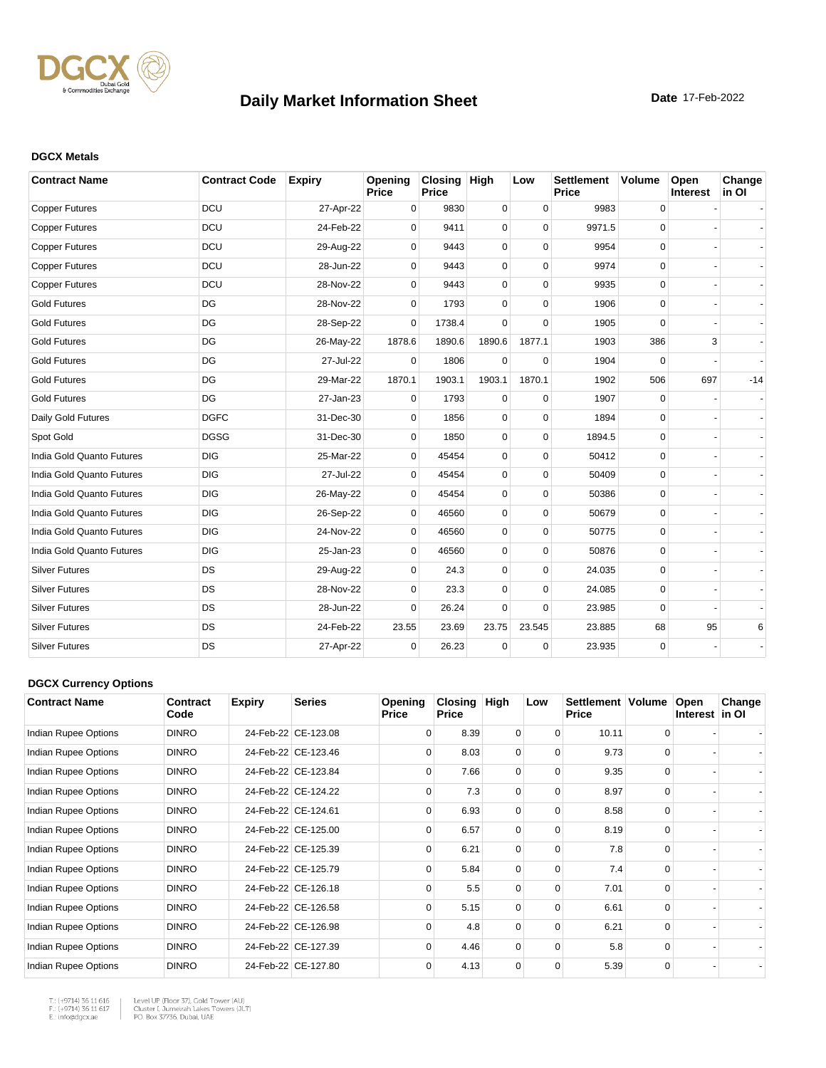

#### **DGCX Metals**

| <b>Contract Name</b>      | <b>Contract Code</b> | <b>Expiry</b> | Opening<br>Price | Closing High<br>Price |             | Low         | <b>Settlement</b><br><b>Price</b> | <b>Volume</b> | Open<br>Interest | Change<br>in OI |
|---------------------------|----------------------|---------------|------------------|-----------------------|-------------|-------------|-----------------------------------|---------------|------------------|-----------------|
| <b>Copper Futures</b>     | <b>DCU</b>           | 27-Apr-22     | 0                | 9830                  | 0           | $\mathbf 0$ | 9983                              | 0             |                  |                 |
| <b>Copper Futures</b>     | <b>DCU</b>           | 24-Feb-22     | $\Omega$         | 9411                  | 0           | $\Omega$    | 9971.5                            | $\mathbf 0$   |                  |                 |
| <b>Copper Futures</b>     | <b>DCU</b>           | 29-Aug-22     | $\Omega$         | 9443                  | 0           | $\Omega$    | 9954                              | 0             |                  |                 |
| <b>Copper Futures</b>     | <b>DCU</b>           | 28-Jun-22     | $\Omega$         | 9443                  | 0           | $\Omega$    | 9974                              | 0             |                  |                 |
| <b>Copper Futures</b>     | <b>DCU</b>           | 28-Nov-22     | 0                | 9443                  | 0           | $\mathbf 0$ | 9935                              | 0             |                  |                 |
| <b>Gold Futures</b>       | DG                   | 28-Nov-22     | $\Omega$         | 1793                  | $\Omega$    | $\Omega$    | 1906                              | 0             |                  |                 |
| <b>Gold Futures</b>       | DG                   | 28-Sep-22     | $\Omega$         | 1738.4                | $\Omega$    | $\Omega$    | 1905                              | $\Omega$      |                  |                 |
| <b>Gold Futures</b>       | DG                   | 26-May-22     | 1878.6           | 1890.6                | 1890.6      | 1877.1      | 1903                              | 386           | 3                |                 |
| <b>Gold Futures</b>       | DG                   | 27-Jul-22     | $\Omega$         | 1806                  | 0           | $\Omega$    | 1904                              | $\Omega$      |                  |                 |
| <b>Gold Futures</b>       | DG                   | 29-Mar-22     | 1870.1           | 1903.1                | 1903.1      | 1870.1      | 1902                              | 506           | 697              | $-14$           |
| <b>Gold Futures</b>       | DG                   | 27-Jan-23     | $\mathbf 0$      | 1793                  | $\mathbf 0$ | $\mathbf 0$ | 1907                              | 0             |                  |                 |
| Daily Gold Futures        | <b>DGFC</b>          | 31-Dec-30     | $\Omega$         | 1856                  | $\mathbf 0$ | $\Omega$    | 1894                              | 0             |                  |                 |
| Spot Gold                 | <b>DGSG</b>          | 31-Dec-30     | $\Omega$         | 1850                  | 0           | $\Omega$    | 1894.5                            | 0             |                  |                 |
| India Gold Quanto Futures | <b>DIG</b>           | 25-Mar-22     | $\Omega$         | 45454                 | 0           | $\Omega$    | 50412                             | $\mathbf 0$   |                  |                 |
| India Gold Quanto Futures | <b>DIG</b>           | 27-Jul-22     | $\Omega$         | 45454                 | 0           | $\Omega$    | 50409                             | 0             |                  |                 |
| India Gold Quanto Futures | <b>DIG</b>           | 26-May-22     | $\mathbf 0$      | 45454                 | 0           | $\Omega$    | 50386                             | 0             |                  |                 |
| India Gold Quanto Futures | <b>DIG</b>           | 26-Sep-22     | 0                | 46560                 | 0           | $\mathbf 0$ | 50679                             | 0             |                  |                 |
| India Gold Quanto Futures | <b>DIG</b>           | 24-Nov-22     | $\Omega$         | 46560                 | 0           | $\Omega$    | 50775                             | 0             |                  |                 |
| India Gold Quanto Futures | <b>DIG</b>           | 25-Jan-23     | $\Omega$         | 46560                 | 0           | $\Omega$    | 50876                             | 0             |                  |                 |
| <b>Silver Futures</b>     | DS                   | 29-Aug-22     | $\Omega$         | 24.3                  | 0           | $\Omega$    | 24.035                            | 0             |                  |                 |
| <b>Silver Futures</b>     | DS                   | 28-Nov-22     | 0                | 23.3                  | 0           | $\mathbf 0$ | 24.085                            | 0             |                  |                 |
| <b>Silver Futures</b>     | DS                   | 28-Jun-22     | $\Omega$         | 26.24                 | 0           | $\Omega$    | 23.985                            | 0             |                  |                 |
| <b>Silver Futures</b>     | <b>DS</b>            | 24-Feb-22     | 23.55            | 23.69                 | 23.75       | 23.545      | 23.885                            | 68            | 95               | 6               |
| <b>Silver Futures</b>     | <b>DS</b>            | 27-Apr-22     | $\mathbf 0$      | 26.23                 | $\mathbf 0$ | $\mathbf 0$ | 23.935                            | $\mathbf 0$   |                  |                 |

#### **DGCX Currency Options**

| <b>Contract Name</b> | Contract<br>Code | <b>Expiry</b> | <b>Series</b>       | <b>Opening</b><br><b>Price</b> | Closing<br><b>Price</b> | High     | Low      | Settlement   Volume<br><b>Price</b> |          | Open<br>Interest in OI | Change |
|----------------------|------------------|---------------|---------------------|--------------------------------|-------------------------|----------|----------|-------------------------------------|----------|------------------------|--------|
| Indian Rupee Options | <b>DINRO</b>     |               | 24-Feb-22 CE-123.08 | $\Omega$                       | 8.39                    | 0        | 0        | 10.11                               | 0        |                        |        |
| Indian Rupee Options | <b>DINRO</b>     |               | 24-Feb-22 CE-123.46 | $\Omega$                       | 8.03                    | $\Omega$ | $\Omega$ | 9.73                                | $\Omega$ |                        |        |
| Indian Rupee Options | <b>DINRO</b>     |               | 24-Feb-22 CE-123.84 | $\Omega$                       | 7.66                    | 0        | $\Omega$ | 9.35                                | $\Omega$ |                        |        |
| Indian Rupee Options | <b>DINRO</b>     |               | 24-Feb-22 CE-124.22 | $\Omega$                       | 7.3                     | $\Omega$ | $\Omega$ | 8.97                                | $\Omega$ |                        |        |
| Indian Rupee Options | <b>DINRO</b>     |               | 24-Feb-22 CE-124.61 | $\Omega$                       | 6.93                    | $\Omega$ | $\Omega$ | 8.58                                | $\Omega$ |                        |        |
| Indian Rupee Options | <b>DINRO</b>     |               | 24-Feb-22 CE-125.00 | $\Omega$                       | 6.57                    | $\Omega$ | $\Omega$ | 8.19                                | $\Omega$ |                        |        |
| Indian Rupee Options | <b>DINRO</b>     |               | 24-Feb-22 CE-125.39 | $\Omega$                       | 6.21                    | $\Omega$ | $\Omega$ | 7.8                                 | $\Omega$ |                        |        |
| Indian Rupee Options | <b>DINRO</b>     |               | 24-Feb-22 CE-125.79 | $\Omega$                       | 5.84                    | 0        | $\Omega$ | 7.4                                 | $\Omega$ |                        |        |
| Indian Rupee Options | <b>DINRO</b>     |               | 24-Feb-22 CE-126.18 | $\Omega$                       | 5.5                     | $\Omega$ | $\Omega$ | 7.01                                | $\Omega$ |                        |        |
| Indian Rupee Options | <b>DINRO</b>     |               | 24-Feb-22 CE-126.58 | $\Omega$                       | 5.15                    | $\Omega$ | $\Omega$ | 6.61                                | $\Omega$ |                        |        |
| Indian Rupee Options | <b>DINRO</b>     |               | 24-Feb-22 CE-126.98 | $\Omega$                       | 4.8                     | 0        | $\Omega$ | 6.21                                | $\Omega$ |                        |        |
| Indian Rupee Options | <b>DINRO</b>     |               | 24-Feb-22 CE-127.39 | $\Omega$                       | 4.46                    | $\Omega$ | $\Omega$ | 5.8                                 | $\Omega$ |                        |        |
| Indian Rupee Options | <b>DINRO</b>     |               | 24-Feb-22 CE-127.80 | $\Omega$                       | 4.13                    | 0        | $\Omega$ | 5.39                                | $\Omega$ |                        |        |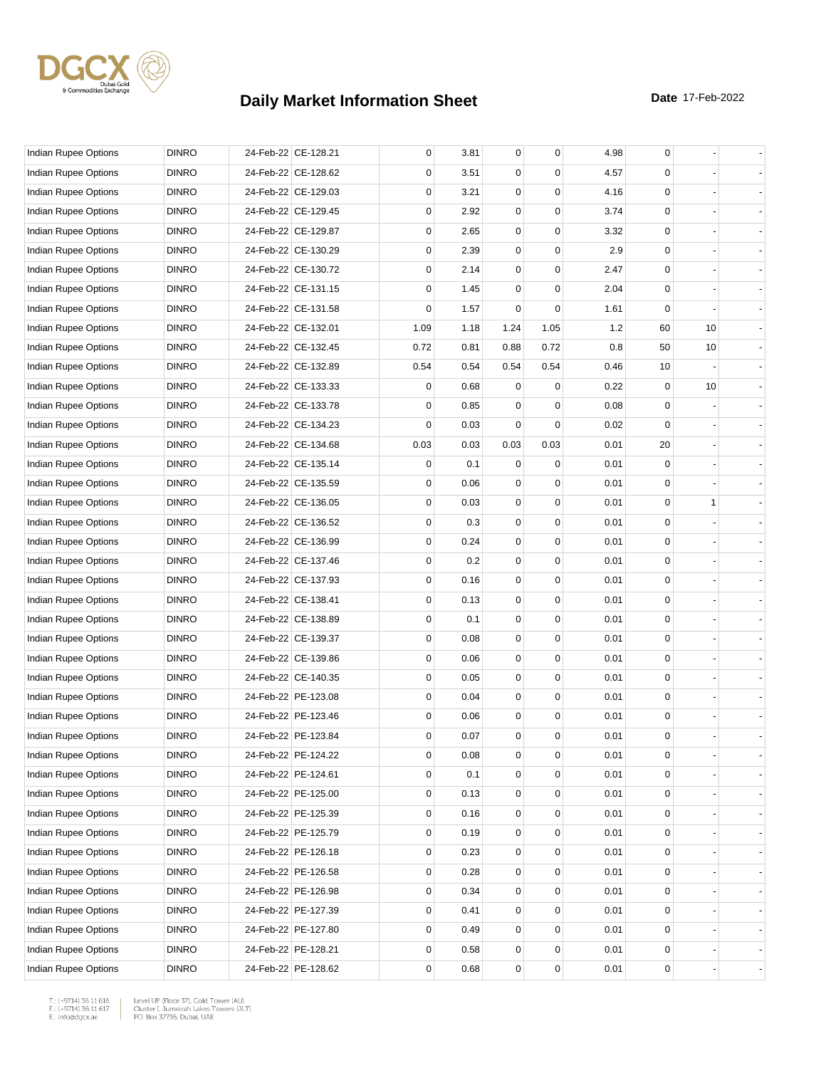

| Indian Rupee Options        | <b>DINRO</b> | 24-Feb-22 CE-128.21 | 0           | 3.81 | $\mathbf 0$ | $\mathbf 0$ | 4.98 | 0  |    |  |
|-----------------------------|--------------|---------------------|-------------|------|-------------|-------------|------|----|----|--|
| Indian Rupee Options        | <b>DINRO</b> | 24-Feb-22 CE-128.62 | 0           | 3.51 | 0           | 0           | 4.57 | 0  |    |  |
| Indian Rupee Options        | <b>DINRO</b> | 24-Feb-22 CE-129.03 | 0           | 3.21 | 0           | $\mathbf 0$ | 4.16 | 0  |    |  |
| Indian Rupee Options        | <b>DINRO</b> | 24-Feb-22 CE-129.45 | $\mathbf 0$ | 2.92 | 0           | $\mathbf 0$ | 3.74 | 0  |    |  |
| Indian Rupee Options        | <b>DINRO</b> | 24-Feb-22 CE-129.87 | 0           | 2.65 | 0           | $\mathbf 0$ | 3.32 | 0  |    |  |
| Indian Rupee Options        | <b>DINRO</b> | 24-Feb-22 CE-130.29 | $\mathbf 0$ | 2.39 | $\mathbf 0$ | $\mathbf 0$ | 2.9  | 0  |    |  |
| Indian Rupee Options        | <b>DINRO</b> | 24-Feb-22 CE-130.72 | 0           | 2.14 | 0           | 0           | 2.47 | 0  |    |  |
| Indian Rupee Options        | <b>DINRO</b> | 24-Feb-22 CE-131.15 | 0           | 1.45 | 0           | 0           | 2.04 | 0  |    |  |
| Indian Rupee Options        | <b>DINRO</b> | 24-Feb-22 CE-131.58 | 0           | 1.57 | 0           | 0           | 1.61 | 0  |    |  |
| Indian Rupee Options        | <b>DINRO</b> | 24-Feb-22 CE-132.01 | 1.09        | 1.18 | 1.24        | 1.05        | 1.2  | 60 | 10 |  |
| Indian Rupee Options        | <b>DINRO</b> | 24-Feb-22 CE-132.45 | 0.72        | 0.81 | 0.88        | 0.72        | 0.8  | 50 | 10 |  |
| Indian Rupee Options        | <b>DINRO</b> | 24-Feb-22 CE-132.89 | 0.54        | 0.54 | 0.54        | 0.54        | 0.46 | 10 |    |  |
| Indian Rupee Options        | <b>DINRO</b> | 24-Feb-22 CE-133.33 | 0           | 0.68 | 0           | 0           | 0.22 | 0  | 10 |  |
| Indian Rupee Options        | <b>DINRO</b> | 24-Feb-22 CE-133.78 | 0           | 0.85 | 0           | 0           | 0.08 | 0  |    |  |
| <b>Indian Rupee Options</b> | <b>DINRO</b> | 24-Feb-22 CE-134.23 | $\mathbf 0$ | 0.03 | $\mathbf 0$ | $\mathbf 0$ | 0.02 | 0  |    |  |
| Indian Rupee Options        | <b>DINRO</b> | 24-Feb-22 CE-134.68 | 0.03        | 0.03 | 0.03        | 0.03        | 0.01 | 20 |    |  |
| <b>Indian Rupee Options</b> | <b>DINRO</b> | 24-Feb-22 CE-135.14 | 0           | 0.1  | 0           | 0           | 0.01 | 0  |    |  |
| Indian Rupee Options        | <b>DINRO</b> | 24-Feb-22 CE-135.59 | 0           | 0.06 | 0           | 0           | 0.01 | 0  |    |  |
| <b>Indian Rupee Options</b> | <b>DINRO</b> | 24-Feb-22 CE-136.05 | $\mathbf 0$ | 0.03 | 0           | $\mathbf 0$ | 0.01 | 0  | 1  |  |
| Indian Rupee Options        | <b>DINRO</b> | 24-Feb-22 CE-136.52 | 0           | 0.3  | 0           | 0           | 0.01 | 0  |    |  |
| Indian Rupee Options        | <b>DINRO</b> | 24-Feb-22 CE-136.99 | $\mathbf 0$ | 0.24 | $\mathbf 0$ | $\mathbf 0$ | 0.01 | 0  |    |  |
| Indian Rupee Options        | <b>DINRO</b> | 24-Feb-22 CE-137.46 | 0           | 0.2  | 0           | 0           | 0.01 | 0  |    |  |
| Indian Rupee Options        | <b>DINRO</b> | 24-Feb-22 CE-137.93 | 0           | 0.16 | 0           | $\mathbf 0$ | 0.01 | 0  |    |  |
| Indian Rupee Options        | <b>DINRO</b> | 24-Feb-22 CE-138.41 | $\mathbf 0$ | 0.13 | 0           | $\mathbf 0$ | 0.01 | 0  |    |  |
| Indian Rupee Options        | <b>DINRO</b> | 24-Feb-22 CE-138.89 | 0           | 0.1  | 0           | $\mathbf 0$ | 0.01 | 0  |    |  |
| Indian Rupee Options        | <b>DINRO</b> | 24-Feb-22 CE-139.37 | $\mathbf 0$ | 0.08 | $\pmb{0}$   | $\mathbf 0$ | 0.01 | 0  |    |  |
| Indian Rupee Options        | <b>DINRO</b> | 24-Feb-22 CE-139.86 | 0           | 0.06 | 0           | 0           | 0.01 | 0  |    |  |
| Indian Rupee Options        | <b>DINRO</b> | 24-Feb-22 CE-140.35 | 0           | 0.05 | 0           | $\mathbf 0$ | 0.01 | 0  |    |  |
| Indian Rupee Options        | <b>DINRO</b> | 24-Feb-22 PE-123.08 | $\mathbf 0$ | 0.04 | 0           | $\mathbf 0$ | 0.01 | 0  |    |  |
| Indian Rupee Options        | <b>DINRO</b> | 24-Feb-22 PE-123.46 | 0           | 0.06 | 0           | 0           | 0.01 | 0  |    |  |
| Indian Rupee Options        | <b>DINRO</b> | 24-Feb-22 PE-123.84 | 0           | 0.07 | $\mathbf 0$ | $\mathbf 0$ | 0.01 | 0  |    |  |
| Indian Rupee Options        | <b>DINRO</b> | 24-Feb-22 PE-124.22 | 0           | 0.08 | 0           | 0           | 0.01 | 0  |    |  |
| Indian Rupee Options        | <b>DINRO</b> | 24-Feb-22 PE-124.61 | 0           | 0.1  | 0           | 0           | 0.01 | 0  |    |  |
| Indian Rupee Options        | <b>DINRO</b> | 24-Feb-22 PE-125.00 | 0           | 0.13 | 0           | 0           | 0.01 | 0  |    |  |
| <b>Indian Rupee Options</b> | <b>DINRO</b> | 24-Feb-22 PE-125.39 | 0           | 0.16 | 0           | 0           | 0.01 | 0  |    |  |
| Indian Rupee Options        | <b>DINRO</b> | 24-Feb-22 PE-125.79 | 0           | 0.19 | 0           | $\mathbf 0$ | 0.01 | 0  |    |  |
| Indian Rupee Options        | <b>DINRO</b> | 24-Feb-22 PE-126.18 | 0           | 0.23 | 0           | 0           | 0.01 | 0  |    |  |
| <b>Indian Rupee Options</b> | <b>DINRO</b> | 24-Feb-22 PE-126.58 | 0           | 0.28 | 0           | 0           | 0.01 | 0  |    |  |
| <b>Indian Rupee Options</b> | <b>DINRO</b> | 24-Feb-22 PE-126.98 | 0           | 0.34 | 0           | 0           | 0.01 | 0  |    |  |
| <b>Indian Rupee Options</b> | <b>DINRO</b> | 24-Feb-22 PE-127.39 | 0           | 0.41 | 0           | 0           | 0.01 | 0  |    |  |
| Indian Rupee Options        | <b>DINRO</b> | 24-Feb-22 PE-127.80 | 0           | 0.49 | 0           | $\mathbf 0$ | 0.01 | 0  |    |  |
| Indian Rupee Options        | <b>DINRO</b> | 24-Feb-22 PE-128.21 | 0           | 0.58 | 0           | 0           | 0.01 | 0  |    |  |
| Indian Rupee Options        | <b>DINRO</b> | 24-Feb-22 PE-128.62 | 0           | 0.68 | 0           | 0           | 0.01 | 0  |    |  |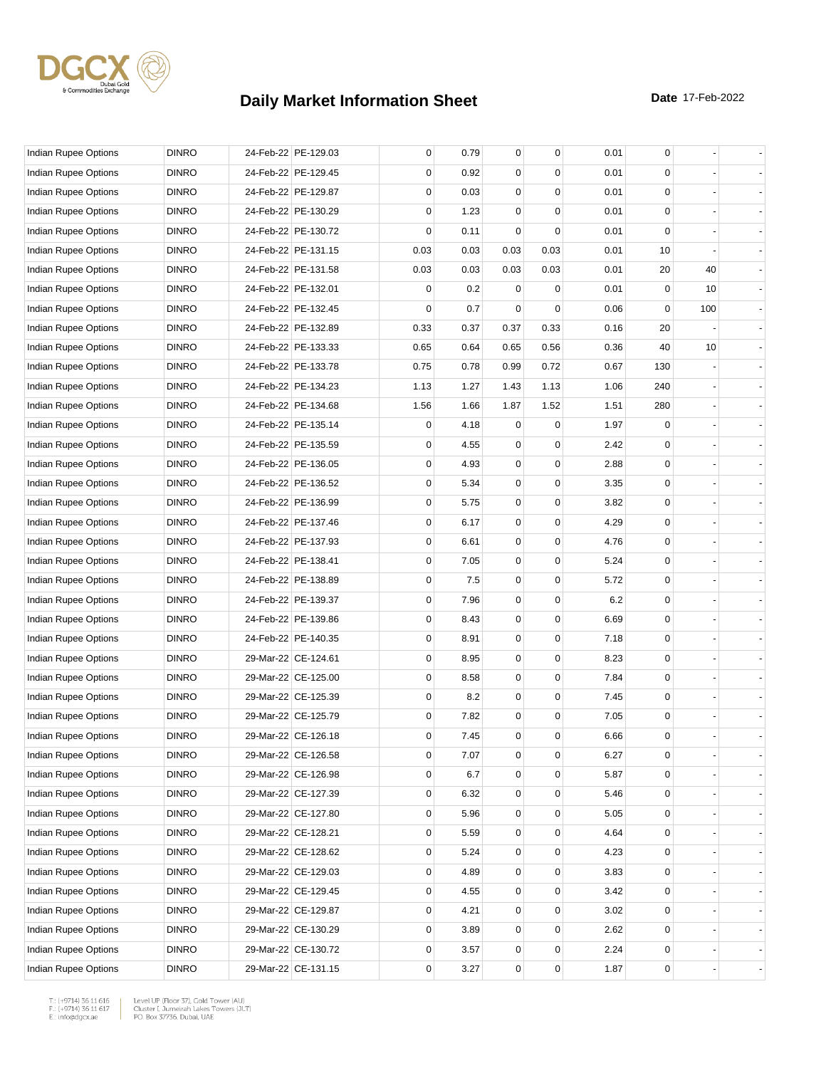

| Indian Rupee Options        | <b>DINRO</b> | 24-Feb-22 PE-129.03 | 0           | 0.79 | 0           | $\mathbf 0$ | 0.01 | 0   |     |  |
|-----------------------------|--------------|---------------------|-------------|------|-------------|-------------|------|-----|-----|--|
| Indian Rupee Options        | <b>DINRO</b> | 24-Feb-22 PE-129.45 | 0           | 0.92 | 0           | $\Omega$    | 0.01 | 0   |     |  |
| <b>Indian Rupee Options</b> | <b>DINRO</b> | 24-Feb-22 PE-129.87 | $\mathbf 0$ | 0.03 | 0           | $\mathbf 0$ | 0.01 | 0   |     |  |
| Indian Rupee Options        | <b>DINRO</b> | 24-Feb-22 PE-130.29 | $\mathbf 0$ | 1.23 | $\mathbf 0$ | $\mathbf 0$ | 0.01 | 0   |     |  |
| Indian Rupee Options        | <b>DINRO</b> | 24-Feb-22 PE-130.72 | $\mathbf 0$ | 0.11 | $\mathbf 0$ | $\mathbf 0$ | 0.01 | 0   |     |  |
| Indian Rupee Options        | <b>DINRO</b> | 24-Feb-22 PE-131.15 | 0.03        | 0.03 | 0.03        | 0.03        | 0.01 | 10  |     |  |
| Indian Rupee Options        | <b>DINRO</b> | 24-Feb-22 PE-131.58 | 0.03        | 0.03 | 0.03        | 0.03        | 0.01 | 20  | 40  |  |
| Indian Rupee Options        | <b>DINRO</b> | 24-Feb-22 PE-132.01 | 0           | 0.2  | 0           | 0           | 0.01 | 0   | 10  |  |
| <b>Indian Rupee Options</b> | <b>DINRO</b> | 24-Feb-22 PE-132.45 | $\mathbf 0$ | 0.7  | $\mathbf 0$ | $\mathbf 0$ | 0.06 | 0   | 100 |  |
| Indian Rupee Options        | <b>DINRO</b> | 24-Feb-22 PE-132.89 | 0.33        | 0.37 | 0.37        | 0.33        | 0.16 | 20  |     |  |
| Indian Rupee Options        | <b>DINRO</b> | 24-Feb-22 PE-133.33 | 0.65        | 0.64 | 0.65        | 0.56        | 0.36 | 40  | 10  |  |
| Indian Rupee Options        | <b>DINRO</b> | 24-Feb-22 PE-133.78 | 0.75        | 0.78 | 0.99        | 0.72        | 0.67 | 130 |     |  |
| Indian Rupee Options        | <b>DINRO</b> | 24-Feb-22 PE-134.23 | 1.13        | 1.27 | 1.43        | 1.13        | 1.06 | 240 |     |  |
| Indian Rupee Options        | <b>DINRO</b> | 24-Feb-22 PE-134.68 | 1.56        | 1.66 | 1.87        | 1.52        | 1.51 | 280 |     |  |
| Indian Rupee Options        | <b>DINRO</b> | 24-Feb-22 PE-135.14 | 0           | 4.18 | $\mathbf 0$ | $\mathbf 0$ | 1.97 | 0   |     |  |
| <b>Indian Rupee Options</b> | <b>DINRO</b> | 24-Feb-22 PE-135.59 | 0           | 4.55 | $\mathbf 0$ | $\mathbf 0$ | 2.42 | 0   |     |  |
| <b>Indian Rupee Options</b> | <b>DINRO</b> | 24-Feb-22 PE-136.05 | 0           | 4.93 | 0           | 0           | 2.88 | 0   |     |  |
| <b>Indian Rupee Options</b> | <b>DINRO</b> | 24-Feb-22 PE-136.52 | 0           | 5.34 | 0           | $\mathbf 0$ | 3.35 | 0   |     |  |
| Indian Rupee Options        | <b>DINRO</b> | 24-Feb-22 PE-136.99 | $\mathbf 0$ | 5.75 | $\mathbf 0$ | $\mathbf 0$ | 3.82 | 0   |     |  |
| Indian Rupee Options        | <b>DINRO</b> | 24-Feb-22 PE-137.46 | 0           | 6.17 | $\mathbf 0$ | $\mathbf 0$ | 4.29 | 0   |     |  |
| Indian Rupee Options        | <b>DINRO</b> | 24-Feb-22 PE-137.93 | 0           | 6.61 | $\mathbf 0$ | $\mathbf 0$ | 4.76 | 0   |     |  |
| Indian Rupee Options        | <b>DINRO</b> | 24-Feb-22 PE-138.41 | 0           | 7.05 | 0           | 0           | 5.24 | 0   |     |  |
| Indian Rupee Options        | <b>DINRO</b> | 24-Feb-22 PE-138.89 | 0           | 7.5  | 0           | $\mathbf 0$ | 5.72 | 0   |     |  |
| Indian Rupee Options        | <b>DINRO</b> | 24-Feb-22 PE-139.37 | $\mathbf 0$ | 7.96 | $\mathbf 0$ | $\mathbf 0$ | 6.2  | 0   |     |  |
| Indian Rupee Options        | <b>DINRO</b> | 24-Feb-22 PE-139.86 | 0           | 8.43 | $\mathbf 0$ | $\mathbf 0$ | 6.69 | 0   |     |  |
| Indian Rupee Options        | <b>DINRO</b> | 24-Feb-22 PE-140.35 | 0           | 8.91 | 0           | $\mathbf 0$ | 7.18 | 0   |     |  |
| Indian Rupee Options        | <b>DINRO</b> | 29-Mar-22 CE-124.61 | 0           | 8.95 | 0           | 0           | 8.23 | 0   |     |  |
| Indian Rupee Options        | <b>DINRO</b> | 29-Mar-22 CE-125.00 | 0           | 8.58 | 0           | $\mathbf 0$ | 7.84 | 0   |     |  |
| Indian Rupee Options        | <b>DINRO</b> | 29-Mar-22 CE-125.39 | $\mathbf 0$ | 8.2  | 0           | $\mathbf 0$ | 7.45 | 0   |     |  |
| Indian Rupee Options        | <b>DINRO</b> | 29-Mar-22 CE-125.79 | 0           | 7.82 | $\mathbf 0$ | 0           | 7.05 | 0   |     |  |
| Indian Rupee Options        | <b>DINRO</b> | 29-Mar-22 CE-126.18 | 0           | 7.45 | 0           | $\mathbf 0$ | 6.66 | 0   |     |  |
| Indian Rupee Options        | <b>DINRO</b> | 29-Mar-22 CE-126.58 | 0           | 7.07 | 0           | 0           | 6.27 | 0   |     |  |
| Indian Rupee Options        | <b>DINRO</b> | 29-Mar-22 CE-126.98 | 0           | 6.7  | 0           | $\mathbf 0$ | 5.87 | 0   |     |  |
| Indian Rupee Options        | <b>DINRO</b> | 29-Mar-22 CE-127.39 | 0           | 6.32 | 0           | 0           | 5.46 | 0   |     |  |
| Indian Rupee Options        | <b>DINRO</b> | 29-Mar-22 CE-127.80 | 0           | 5.96 | 0           | $\mathbf 0$ | 5.05 | 0   |     |  |
| Indian Rupee Options        | <b>DINRO</b> | 29-Mar-22 CE-128.21 | 0           | 5.59 | 0           | 0           | 4.64 | 0   |     |  |
| Indian Rupee Options        | <b>DINRO</b> | 29-Mar-22 CE-128.62 | 0           | 5.24 | 0           | 0           | 4.23 | 0   |     |  |
| <b>Indian Rupee Options</b> | <b>DINRO</b> | 29-Mar-22 CE-129.03 | 0           | 4.89 | 0           | 0           | 3.83 | 0   |     |  |
| <b>Indian Rupee Options</b> | <b>DINRO</b> | 29-Mar-22 CE-129.45 | 0           | 4.55 | 0           | 0           | 3.42 | 0   |     |  |
| Indian Rupee Options        | <b>DINRO</b> | 29-Mar-22 CE-129.87 | 0           | 4.21 | 0           | $\mathbf 0$ | 3.02 | 0   |     |  |
| Indian Rupee Options        | <b>DINRO</b> | 29-Mar-22 CE-130.29 | 0           | 3.89 | 0           | 0           | 2.62 | 0   |     |  |
| Indian Rupee Options        | <b>DINRO</b> | 29-Mar-22 CE-130.72 | 0           | 3.57 | 0           | 0           | 2.24 | 0   |     |  |
| Indian Rupee Options        | <b>DINRO</b> | 29-Mar-22 CE-131.15 | 0           | 3.27 | 0           | 0           | 1.87 | 0   |     |  |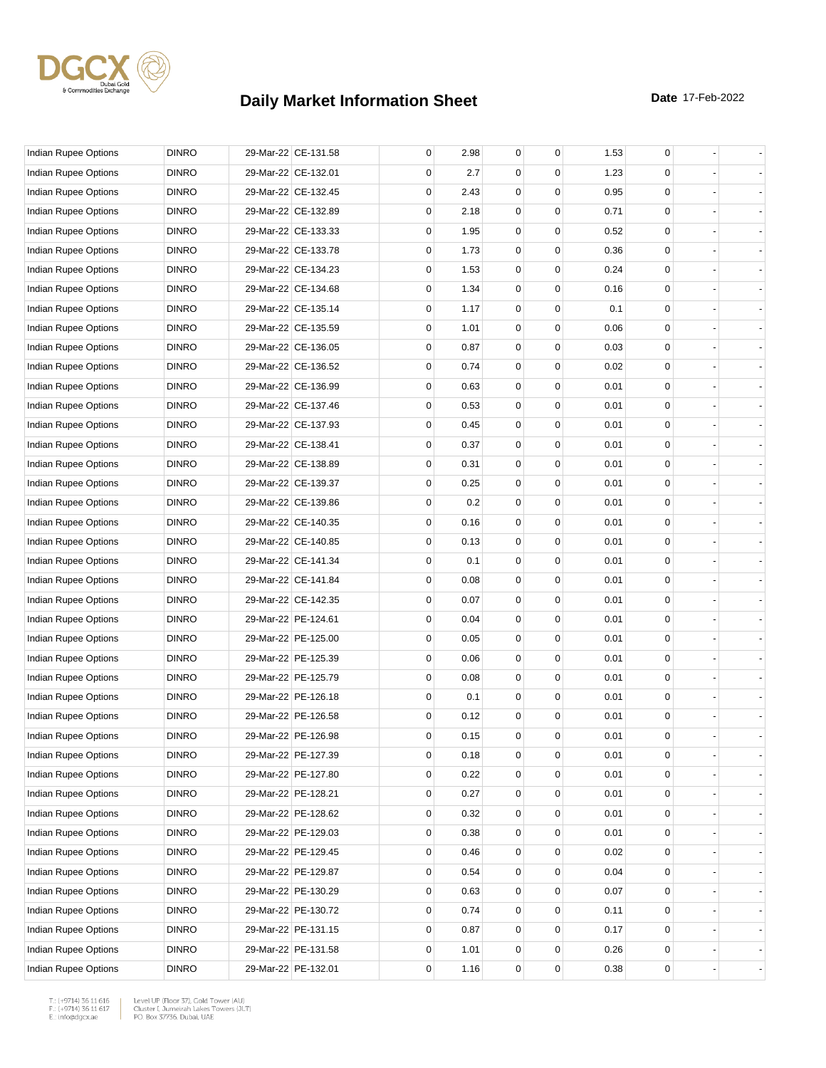

| Indian Rupee Options        | <b>DINRO</b> | 29-Mar-22 CE-131.58 | 0           | 2.98 | 0           | $\mathbf 0$ | 1.53 | 0           |  |
|-----------------------------|--------------|---------------------|-------------|------|-------------|-------------|------|-------------|--|
| Indian Rupee Options        | <b>DINRO</b> | 29-Mar-22 CE-132.01 | 0           | 2.7  | 0           | $\Omega$    | 1.23 | 0           |  |
| <b>Indian Rupee Options</b> | <b>DINRO</b> | 29-Mar-22 CE-132.45 | $\mathbf 0$ | 2.43 | 0           | $\mathbf 0$ | 0.95 | 0           |  |
| Indian Rupee Options        | <b>DINRO</b> | 29-Mar-22 CE-132.89 | $\mathbf 0$ | 2.18 | 0           | $\mathbf 0$ | 0.71 | 0           |  |
| <b>Indian Rupee Options</b> | <b>DINRO</b> | 29-Mar-22 CE-133.33 | $\mathbf 0$ | 1.95 | $\mathbf 0$ | $\mathbf 0$ | 0.52 | 0           |  |
| Indian Rupee Options        | <b>DINRO</b> | 29-Mar-22 CE-133.78 | $\mathbf 0$ | 1.73 | 0           | $\mathbf 0$ | 0.36 | 0           |  |
| Indian Rupee Options        | <b>DINRO</b> | 29-Mar-22 CE-134.23 | 0           | 1.53 | 0           | 0           | 0.24 | 0           |  |
| <b>Indian Rupee Options</b> | <b>DINRO</b> | 29-Mar-22 CE-134.68 | 0           | 1.34 | 0           | $\mathbf 0$ | 0.16 | 0           |  |
| Indian Rupee Options        | <b>DINRO</b> | 29-Mar-22 CE-135.14 | $\mathbf 0$ | 1.17 | 0           | $\mathbf 0$ | 0.1  | 0           |  |
| <b>Indian Rupee Options</b> | <b>DINRO</b> | 29-Mar-22 CE-135.59 | 0           | 1.01 | $\mathbf 0$ | $\mathbf 0$ | 0.06 | 0           |  |
| Indian Rupee Options        | <b>DINRO</b> | 29-Mar-22 CE-136.05 | $\mathbf 0$ | 0.87 | $\mathbf 0$ | $\mathbf 0$ | 0.03 | 0           |  |
| Indian Rupee Options        | <b>DINRO</b> | 29-Mar-22 CE-136.52 | 0           | 0.74 | 0           | 0           | 0.02 | 0           |  |
| Indian Rupee Options        | <b>DINRO</b> | 29-Mar-22 CE-136.99 | 0           | 0.63 | 0           | $\mathbf 0$ | 0.01 | 0           |  |
| Indian Rupee Options        | <b>DINRO</b> | 29-Mar-22 CE-137.46 | $\mathbf 0$ | 0.53 | $\mathbf 0$ | $\mathbf 0$ | 0.01 | 0           |  |
| Indian Rupee Options        | <b>DINRO</b> | 29-Mar-22 CE-137.93 | 0           | 0.45 | $\mathbf 0$ | $\mathbf 0$ | 0.01 | 0           |  |
| <b>Indian Rupee Options</b> | <b>DINRO</b> | 29-Mar-22 CE-138.41 | 0           | 0.37 | $\mathbf 0$ | $\mathbf 0$ | 0.01 | 0           |  |
| Indian Rupee Options        | <b>DINRO</b> | 29-Mar-22 CE-138.89 | 0           | 0.31 | 0           | 0           | 0.01 | 0           |  |
| Indian Rupee Options        | <b>DINRO</b> | 29-Mar-22 CE-139.37 | 0           | 0.25 | 0           | $\mathbf 0$ | 0.01 | 0           |  |
| <b>Indian Rupee Options</b> | <b>DINRO</b> | 29-Mar-22 CE-139.86 | $\mathbf 0$ | 0.2  | $\mathbf 0$ | $\mathbf 0$ | 0.01 | 0           |  |
| Indian Rupee Options        | <b>DINRO</b> | 29-Mar-22 CE-140.35 | 0           | 0.16 | $\mathbf 0$ | $\mathbf 0$ | 0.01 | 0           |  |
| Indian Rupee Options        | <b>DINRO</b> | 29-Mar-22 CE-140.85 | 0           | 0.13 | $\mathbf 0$ | $\mathbf 0$ | 0.01 | 0           |  |
| Indian Rupee Options        | <b>DINRO</b> | 29-Mar-22 CE-141.34 | 0           | 0.1  | 0           | 0           | 0.01 | 0           |  |
| Indian Rupee Options        | <b>DINRO</b> | 29-Mar-22 CE-141.84 | 0           | 0.08 | 0           | $\mathbf 0$ | 0.01 | 0           |  |
| Indian Rupee Options        | <b>DINRO</b> | 29-Mar-22 CE-142.35 | $\mathbf 0$ | 0.07 | $\mathbf 0$ | $\mathbf 0$ | 0.01 | 0           |  |
| Indian Rupee Options        | <b>DINRO</b> | 29-Mar-22 PE-124.61 | 0           | 0.04 | $\mathbf 0$ | $\mathbf 0$ | 0.01 | 0           |  |
| Indian Rupee Options        | <b>DINRO</b> | 29-Mar-22 PE-125.00 | 0           | 0.05 | 0           | $\mathbf 0$ | 0.01 | 0           |  |
| Indian Rupee Options        | <b>DINRO</b> | 29-Mar-22 PE-125.39 | 0           | 0.06 | 0           | 0           | 0.01 | 0           |  |
| Indian Rupee Options        | <b>DINRO</b> | 29-Mar-22 PE-125.79 | 0           | 0.08 | 0           | $\mathbf 0$ | 0.01 | 0           |  |
| <b>Indian Rupee Options</b> | <b>DINRO</b> | 29-Mar-22 PE-126.18 | $\mathbf 0$ | 0.1  | $\mathbf 0$ | $\mathbf 0$ | 0.01 | 0           |  |
| Indian Rupee Options        | <b>DINRO</b> | 29-Mar-22 PE-126.58 | 0           | 0.12 | $\mathbf 0$ | $\mathbf 0$ | 0.01 | 0           |  |
| Indian Rupee Options        | <b>DINRO</b> | 29-Mar-22 PE-126.98 | 0           | 0.15 | $\mathbf 0$ | $\mathbf 0$ | 0.01 | 0           |  |
| Indian Rupee Options        | <b>DINRO</b> | 29-Mar-22 PE-127.39 | 0           | 0.18 | 0           | 0           | 0.01 | 0           |  |
| Indian Rupee Options        | <b>DINRO</b> | 29-Mar-22 PE-127.80 | 0           | 0.22 | 0           | $\mathbf 0$ | 0.01 | 0           |  |
| Indian Rupee Options        | <b>DINRO</b> | 29-Mar-22 PE-128.21 | 0           | 0.27 | 0           | 0           | 0.01 | 0           |  |
| Indian Rupee Options        | <b>DINRO</b> | 29-Mar-22 PE-128.62 | 0           | 0.32 | 0           | $\mathbf 0$ | 0.01 | 0           |  |
| Indian Rupee Options        | <b>DINRO</b> | 29-Mar-22 PE-129.03 | 0           | 0.38 | 0           | 0           | 0.01 | 0           |  |
| Indian Rupee Options        | <b>DINRO</b> | 29-Mar-22 PE-129.45 | 0           | 0.46 | 0           | 0           | 0.02 | 0           |  |
| Indian Rupee Options        | <b>DINRO</b> | 29-Mar-22 PE-129.87 | 0           | 0.54 | $\pmb{0}$   | 0           | 0.04 | 0           |  |
| Indian Rupee Options        | <b>DINRO</b> | 29-Mar-22 PE-130.29 | 0           | 0.63 | 0           | 0           | 0.07 | 0           |  |
| Indian Rupee Options        | <b>DINRO</b> | 29-Mar-22 PE-130.72 | 0           | 0.74 | 0           | 0           | 0.11 | $\mathbf 0$ |  |
| Indian Rupee Options        | <b>DINRO</b> | 29-Mar-22 PE-131.15 | 0           | 0.87 | 0           | 0           | 0.17 | 0           |  |
| Indian Rupee Options        | <b>DINRO</b> | 29-Mar-22 PE-131.58 | 0           | 1.01 | 0           | 0           | 0.26 | 0           |  |
| Indian Rupee Options        | <b>DINRO</b> | 29-Mar-22 PE-132.01 | 0           | 1.16 | 0           | 0           | 0.38 | 0           |  |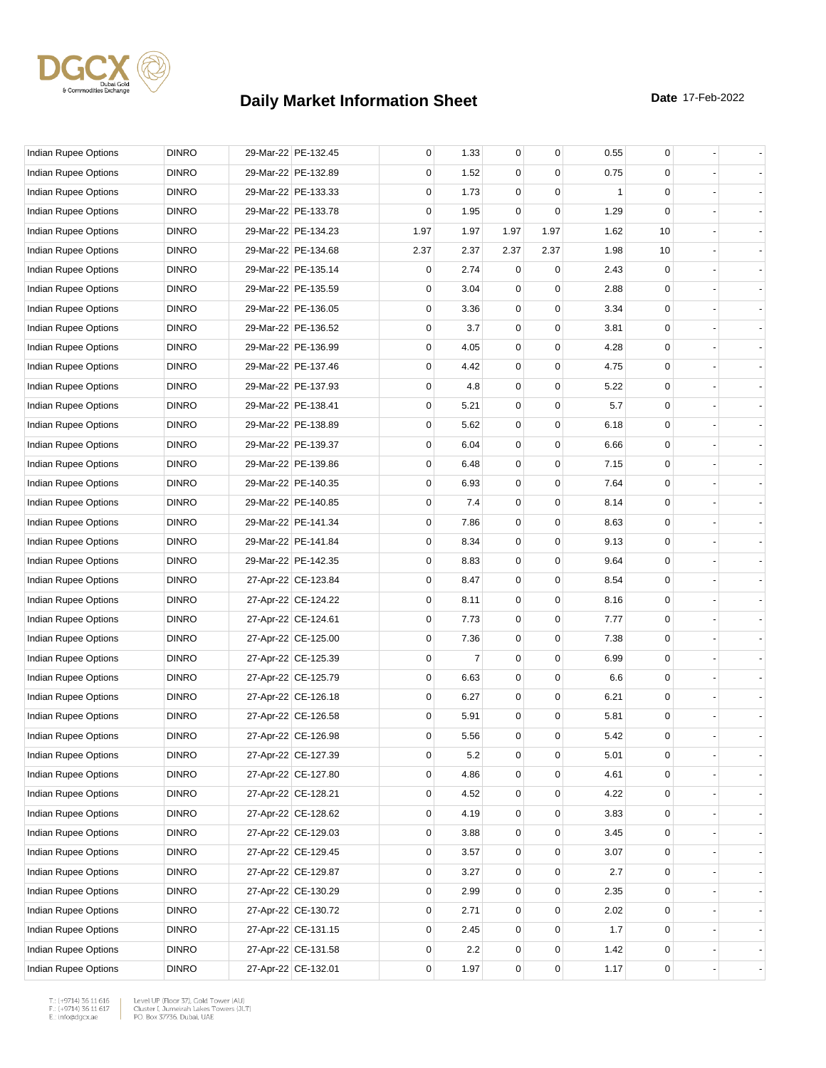

| Indian Rupee Options        | <b>DINRO</b> | 29-Mar-22 PE-132.45 | 0    | 1.33 | $\mathbf{0}$   | 0        | 0.55 | 0           |  |
|-----------------------------|--------------|---------------------|------|------|----------------|----------|------|-------------|--|
| Indian Rupee Options        | <b>DINRO</b> | 29-Mar-22 PE-132.89 | 0    | 1.52 | 0              | $\Omega$ | 0.75 | 0           |  |
| Indian Rupee Options        | <b>DINRO</b> | 29-Mar-22 PE-133.33 | 0    | 1.73 | $\Omega$       | 0        | 1    | $\mathbf 0$ |  |
| Indian Rupee Options        | <b>DINRO</b> | 29-Mar-22 PE-133.78 | 0    | 1.95 | 0              | 0        | 1.29 | $\mathbf 0$ |  |
| Indian Rupee Options        | <b>DINRO</b> | 29-Mar-22 PE-134.23 | 1.97 | 1.97 | 1.97           | 1.97     | 1.62 | 10          |  |
| Indian Rupee Options        | <b>DINRO</b> | 29-Mar-22 PE-134.68 | 2.37 | 2.37 | 2.37           | 2.37     | 1.98 | 10          |  |
| Indian Rupee Options        | <b>DINRO</b> | 29-Mar-22 PE-135.14 | 0    | 2.74 | $\Omega$       | $\Omega$ | 2.43 | 0           |  |
| <b>Indian Rupee Options</b> | <b>DINRO</b> | 29-Mar-22 PE-135.59 | 0    | 3.04 | $\Omega$       | 0        | 2.88 | $\mathbf 0$ |  |
| <b>Indian Rupee Options</b> | <b>DINRO</b> | 29-Mar-22 PE-136.05 | 0    | 3.36 | 0              | 0        | 3.34 | $\mathbf 0$ |  |
| Indian Rupee Options        | <b>DINRO</b> | 29-Mar-22 PE-136.52 | 0    | 3.7  | 0              | 0        | 3.81 | $\mathbf 0$ |  |
| Indian Rupee Options        | <b>DINRO</b> | 29-Mar-22 PE-136.99 | 0    | 4.05 | 0              | 0        | 4.28 | $\mathbf 0$ |  |
| Indian Rupee Options        | <b>DINRO</b> | 29-Mar-22 PE-137.46 | 0    | 4.42 | 0              | 0        | 4.75 | 0           |  |
| Indian Rupee Options        | <b>DINRO</b> | 29-Mar-22 PE-137.93 | 0    | 4.8  | 0              | 0        | 5.22 | $\mathbf 0$ |  |
| Indian Rupee Options        | <b>DINRO</b> | 29-Mar-22 PE-138.41 | 0    | 5.21 | 0              | 0        | 5.7  | $\mathbf 0$ |  |
| Indian Rupee Options        | <b>DINRO</b> | 29-Mar-22 PE-138.89 | 0    | 5.62 | 0              | 0        | 6.18 | $\mathbf 0$ |  |
| <b>Indian Rupee Options</b> | <b>DINRO</b> | 29-Mar-22 PE-139.37 | 0    | 6.04 | 0              | 0        | 6.66 | 0           |  |
| Indian Rupee Options        | <b>DINRO</b> | 29-Mar-22 PE-139.86 | 0    | 6.48 | 0              | 0        | 7.15 | 0           |  |
| Indian Rupee Options        | <b>DINRO</b> | 29-Mar-22 PE-140.35 | 0    | 6.93 | 0              | 0        | 7.64 | $\mathbf 0$ |  |
| Indian Rupee Options        | <b>DINRO</b> | 29-Mar-22 PE-140.85 | 0    | 7.4  | 0              | 0        | 8.14 | $\mathbf 0$ |  |
| Indian Rupee Options        | <b>DINRO</b> | 29-Mar-22 PE-141.34 | 0    | 7.86 | 0              | 0        | 8.63 | $\mathbf 0$ |  |
| Indian Rupee Options        | <b>DINRO</b> | 29-Mar-22 PE-141.84 | 0    | 8.34 | 0              | 0        | 9.13 | $\mathbf 0$ |  |
| Indian Rupee Options        | <b>DINRO</b> | 29-Mar-22 PE-142.35 | 0    | 8.83 | 0              | 0        | 9.64 | 0           |  |
| Indian Rupee Options        | <b>DINRO</b> | 27-Apr-22 CE-123.84 | 0    | 8.47 | 0              | 0        | 8.54 | $\mathbf 0$ |  |
| Indian Rupee Options        | <b>DINRO</b> | 27-Apr-22 CE-124.22 | 0    | 8.11 | 0              | 0        | 8.16 | $\mathbf 0$ |  |
| Indian Rupee Options        | <b>DINRO</b> | 27-Apr-22 CE-124.61 | 0    | 7.73 | 0              | 0        | 7.77 | $\mathbf 0$ |  |
| Indian Rupee Options        | <b>DINRO</b> | 27-Apr-22 CE-125.00 | 0    | 7.36 | 0              | 0        | 7.38 | $\mathbf 0$ |  |
| Indian Rupee Options        | <b>DINRO</b> | 27-Apr-22 CE-125.39 | 0    | 7    | 0              | 0        | 6.99 | 0           |  |
| Indian Rupee Options        | <b>DINRO</b> | 27-Apr-22 CE-125.79 | 0    | 6.63 | 0              | 0        | 6.6  | $\mathbf 0$ |  |
| <b>Indian Rupee Options</b> | <b>DINRO</b> | 27-Apr-22 CE-126.18 | 0    | 6.27 | 0              | 0        | 6.21 | $\mathbf 0$ |  |
| Indian Rupee Options        | <b>DINRO</b> | 27-Apr-22 CE-126.58 | 0    | 5.91 | 0              | 0        | 5.81 | $\mathbf 0$ |  |
| Indian Rupee Options        | <b>DINRO</b> | 27-Apr-22 CE-126.98 | 0    | 5.56 | $\overline{0}$ | 0        | 5.42 | $\mathbf 0$ |  |
| Indian Rupee Options        | <b>DINRO</b> | 27-Apr-22 CE-127.39 | 0    | 5.2  | 0              | 0        | 5.01 | 0           |  |
| Indian Rupee Options        | <b>DINRO</b> | 27-Apr-22 CE-127.80 | 0    | 4.86 | 0              | 0        | 4.61 | $\mathbf 0$ |  |
| Indian Rupee Options        | <b>DINRO</b> | 27-Apr-22 CE-128.21 | 0    | 4.52 | 0              | 0        | 4.22 | 0           |  |
| Indian Rupee Options        | <b>DINRO</b> | 27-Apr-22 CE-128.62 | 0    | 4.19 | 0              | 0        | 3.83 | $\mathbf 0$ |  |
| Indian Rupee Options        | <b>DINRO</b> | 27-Apr-22 CE-129.03 | 0    | 3.88 | 0              | 0        | 3.45 | 0           |  |
| Indian Rupee Options        | <b>DINRO</b> | 27-Apr-22 CE-129.45 | 0    | 3.57 | 0              | 0        | 3.07 | 0           |  |
| Indian Rupee Options        | <b>DINRO</b> | 27-Apr-22 CE-129.87 | 0    | 3.27 | 0              | 0        | 2.7  | 0           |  |
| Indian Rupee Options        | <b>DINRO</b> | 27-Apr-22 CE-130.29 | 0    | 2.99 | 0              | 0        | 2.35 | 0           |  |
| Indian Rupee Options        | <b>DINRO</b> | 27-Apr-22 CE-130.72 | 0    | 2.71 | 0              | 0        | 2.02 | $\mathbf 0$ |  |
| Indian Rupee Options        | <b>DINRO</b> | 27-Apr-22 CE-131.15 | 0    | 2.45 | 0              | 0        | 1.7  | $\mathbf 0$ |  |
| Indian Rupee Options        | <b>DINRO</b> | 27-Apr-22 CE-131.58 | 0    | 2.2  | 0              | 0        | 1.42 | 0           |  |
| Indian Rupee Options        | <b>DINRO</b> | 27-Apr-22 CE-132.01 | 0    | 1.97 | 0              | 0        | 1.17 | 0           |  |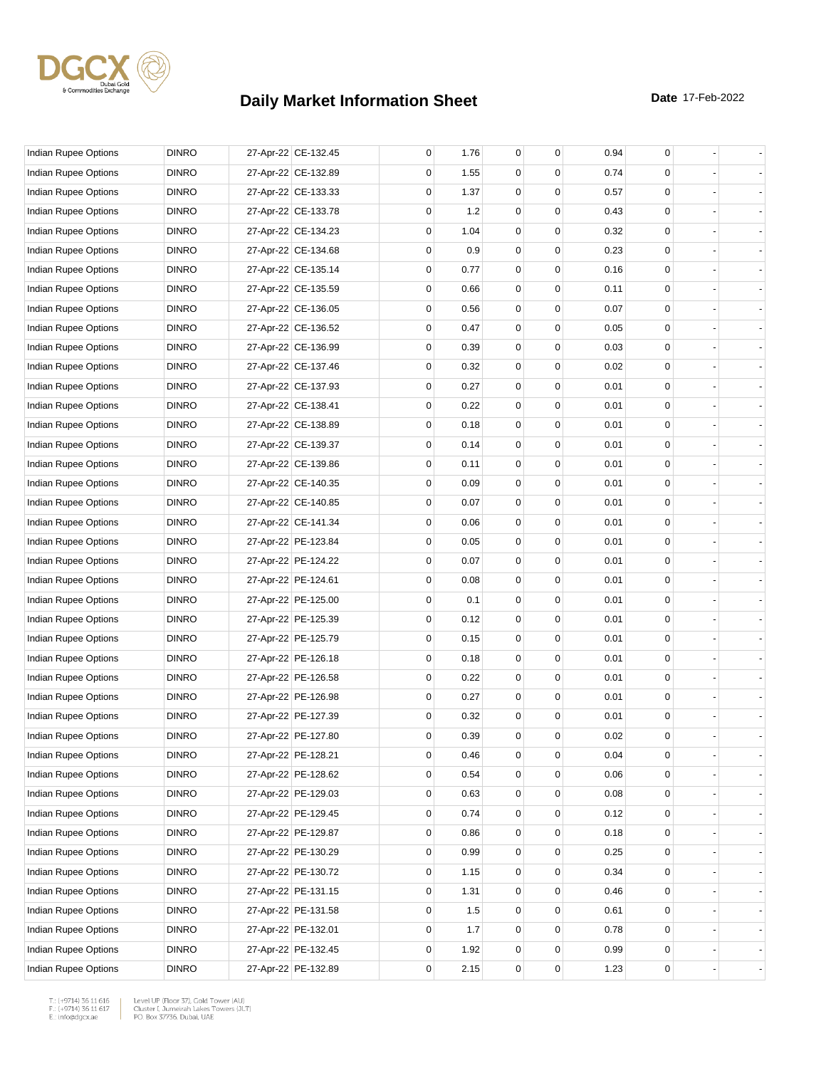

| Indian Rupee Options        | <b>DINRO</b> | 27-Apr-22 CE-132.45 | 0 | 1.76 | 0           | 0           | 0.94 | 0 |                |
|-----------------------------|--------------|---------------------|---|------|-------------|-------------|------|---|----------------|
| Indian Rupee Options        | <b>DINRO</b> | 27-Apr-22 CE-132.89 | 0 | 1.55 | 0           | 0           | 0.74 | 0 |                |
| <b>Indian Rupee Options</b> | <b>DINRO</b> | 27-Apr-22 CE-133.33 | 0 | 1.37 | 0           | $\mathbf 0$ | 0.57 | 0 |                |
| Indian Rupee Options        | <b>DINRO</b> | 27-Apr-22 CE-133.78 | 0 | 1.2  | 0           | $\mathbf 0$ | 0.43 | 0 |                |
| Indian Rupee Options        | <b>DINRO</b> | 27-Apr-22 CE-134.23 | 0 | 1.04 | $\mathbf 0$ | 0           | 0.32 | 0 |                |
| Indian Rupee Options        | <b>DINRO</b> | 27-Apr-22 CE-134.68 | 0 | 0.9  | $\mathbf 0$ | 0           | 0.23 | 0 |                |
| Indian Rupee Options        | <b>DINRO</b> | 27-Apr-22 CE-135.14 | 0 | 0.77 | $\mathbf 0$ | 0           | 0.16 | 0 |                |
| <b>Indian Rupee Options</b> | <b>DINRO</b> | 27-Apr-22 CE-135.59 | 0 | 0.66 | $\mathbf 0$ | $\mathbf 0$ | 0.11 | 0 |                |
| Indian Rupee Options        | <b>DINRO</b> | 27-Apr-22 CE-136.05 | 0 | 0.56 | 0           | $\mathbf 0$ | 0.07 | 0 |                |
| Indian Rupee Options        | <b>DINRO</b> | 27-Apr-22 CE-136.52 | 0 | 0.47 | $\mathbf 0$ | 0           | 0.05 | 0 |                |
| Indian Rupee Options        | <b>DINRO</b> | 27-Apr-22 CE-136.99 | 0 | 0.39 | $\mathbf 0$ | 0           | 0.03 | 0 |                |
| Indian Rupee Options        | <b>DINRO</b> | 27-Apr-22 CE-137.46 | 0 | 0.32 | $\mathbf 0$ | 0           | 0.02 | 0 |                |
| Indian Rupee Options        | <b>DINRO</b> | 27-Apr-22 CE-137.93 | 0 | 0.27 | $\mathbf 0$ | $\mathbf 0$ | 0.01 | 0 |                |
| Indian Rupee Options        | <b>DINRO</b> | 27-Apr-22 CE-138.41 | 0 | 0.22 | 0           | $\mathbf 0$ | 0.01 | 0 |                |
| Indian Rupee Options        | <b>DINRO</b> | 27-Apr-22 CE-138.89 | 0 | 0.18 | $\mathbf 0$ | 0           | 0.01 | 0 |                |
| Indian Rupee Options        | <b>DINRO</b> | 27-Apr-22 CE-139.37 | 0 | 0.14 | $\mathbf 0$ | 0           | 0.01 | 0 |                |
| Indian Rupee Options        | <b>DINRO</b> | 27-Apr-22 CE-139.86 | 0 | 0.11 | $\mathbf 0$ | 0           | 0.01 | 0 |                |
| Indian Rupee Options        | <b>DINRO</b> | 27-Apr-22 CE-140.35 | 0 | 0.09 | $\mathbf 0$ | $\mathbf 0$ | 0.01 | 0 |                |
| Indian Rupee Options        | <b>DINRO</b> | 27-Apr-22 CE-140.85 | 0 | 0.07 | 0           | $\mathbf 0$ | 0.01 | 0 |                |
| Indian Rupee Options        | <b>DINRO</b> | 27-Apr-22 CE-141.34 | 0 | 0.06 | $\mathbf 0$ | 0           | 0.01 | 0 |                |
| Indian Rupee Options        | <b>DINRO</b> | 27-Apr-22 PE-123.84 | 0 | 0.05 | $\mathbf 0$ | 0           | 0.01 | 0 |                |
| Indian Rupee Options        | <b>DINRO</b> | 27-Apr-22 PE-124.22 | 0 | 0.07 | $\mathbf 0$ | 0           | 0.01 | 0 |                |
| Indian Rupee Options        | <b>DINRO</b> | 27-Apr-22 PE-124.61 | 0 | 0.08 | $\mathbf 0$ | $\mathbf 0$ | 0.01 | 0 |                |
| Indian Rupee Options        | <b>DINRO</b> | 27-Apr-22 PE-125.00 | 0 | 0.1  | 0           | $\mathbf 0$ | 0.01 | 0 |                |
| Indian Rupee Options        | <b>DINRO</b> | 27-Apr-22 PE-125.39 | 0 | 0.12 | $\mathbf 0$ | 0           | 0.01 | 0 |                |
| Indian Rupee Options        | <b>DINRO</b> | 27-Apr-22 PE-125.79 | 0 | 0.15 | $\mathbf 0$ | 0           | 0.01 | 0 |                |
| Indian Rupee Options        | <b>DINRO</b> | 27-Apr-22 PE-126.18 | 0 | 0.18 | $\mathbf 0$ | 0           | 0.01 | 0 |                |
| Indian Rupee Options        | <b>DINRO</b> | 27-Apr-22 PE-126.58 | 0 | 0.22 | 0           | $\mathbf 0$ | 0.01 | 0 |                |
| Indian Rupee Options        | <b>DINRO</b> | 27-Apr-22 PE-126.98 | 0 | 0.27 | 0           | $\mathbf 0$ | 0.01 | 0 |                |
| Indian Rupee Options        | <b>DINRO</b> | 27-Apr-22 PE-127.39 | 0 | 0.32 | $\mathbf 0$ | 0           | 0.01 | 0 |                |
| Indian Rupee Options        | <b>DINRO</b> | 27-Apr-22 PE-127.80 | 0 | 0.39 | 0           | 0           | 0.02 | 0 |                |
| Indian Rupee Options        | <b>DINRO</b> | 27-Apr-22 PE-128.21 | 0 | 0.46 | $\pmb{0}$   | $\pmb{0}$   | 0.04 | 0 |                |
| <b>Indian Rupee Options</b> | <b>DINRO</b> | 27-Apr-22 PE-128.62 | 0 | 0.54 | 0           | 0           | 0.06 | 0 |                |
| Indian Rupee Options        | <b>DINRO</b> | 27-Apr-22 PE-129.03 | 0 | 0.63 | 0           | 0           | 0.08 | 0 |                |
| Indian Rupee Options        | <b>DINRO</b> | 27-Apr-22 PE-129.45 | 0 | 0.74 | 0           | 0           | 0.12 | 0 |                |
| Indian Rupee Options        | <b>DINRO</b> | 27-Apr-22 PE-129.87 | 0 | 0.86 | 0           | 0           | 0.18 | 0 | $\blacksquare$ |
| Indian Rupee Options        | <b>DINRO</b> | 27-Apr-22 PE-130.29 | 0 | 0.99 | $\mathbf 0$ | 0           | 0.25 | 0 |                |
| Indian Rupee Options        | <b>DINRO</b> | 27-Apr-22 PE-130.72 | 0 | 1.15 | $\pmb{0}$   | 0           | 0.34 | 0 |                |
| Indian Rupee Options        | <b>DINRO</b> | 27-Apr-22 PE-131.15 | 0 | 1.31 | 0           | 0           | 0.46 | 0 |                |
| Indian Rupee Options        | <b>DINRO</b> | 27-Apr-22 PE-131.58 | 0 | 1.5  | 0           | 0           | 0.61 | 0 |                |
| Indian Rupee Options        | <b>DINRO</b> | 27-Apr-22 PE-132.01 | 0 | 1.7  | 0           | 0           | 0.78 | 0 |                |
| Indian Rupee Options        | <b>DINRO</b> | 27-Apr-22 PE-132.45 | 0 | 1.92 | $\pmb{0}$   | 0           | 0.99 | 0 |                |
| Indian Rupee Options        | <b>DINRO</b> | 27-Apr-22 PE-132.89 | 0 | 2.15 | $\pmb{0}$   | $\mathbf 0$ | 1.23 | 0 |                |